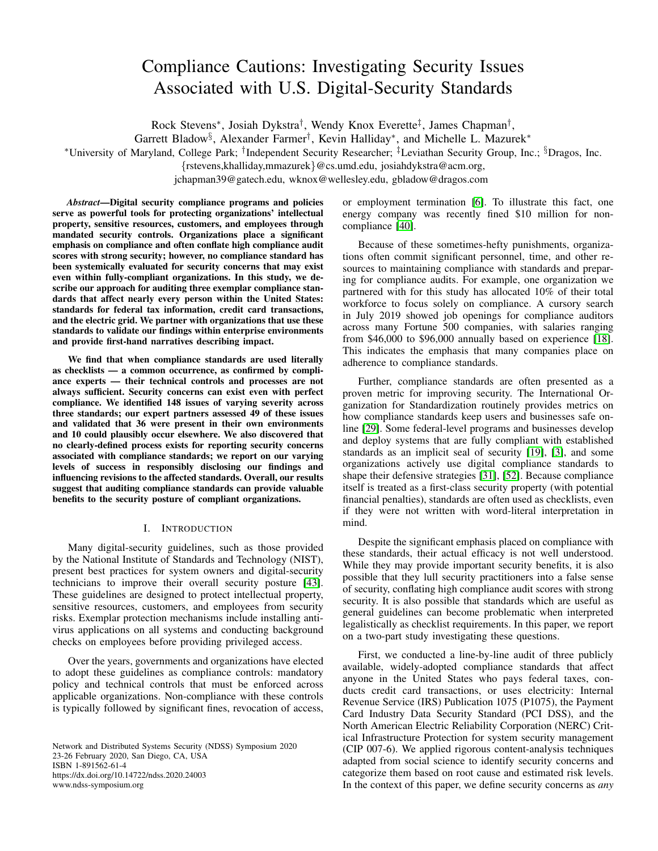# Compliance Cautions: Investigating Security Issues Associated with U.S. Digital-Security Standards

Rock Stevens<sup>∗</sup>, Josiah Dykstra<sup>†</sup>, Wendy Knox Everette<sup>‡</sup>, James Chapman<sup>†</sup>,

Garrett Bladow<sup>§</sup>, Alexander Farmer<sup>†</sup>, Kevin Halliday<sup>\*</sup>, and Michelle L. Mazurek<sup>\*</sup>

<sup>∗</sup>University of Maryland, College Park; † Independent Security Researcher; ‡Leviathan Security Group, Inc.; §Dragos, Inc.

{rstevens,khalliday,mmazurek}@cs.umd.edu, josiahdykstra@acm.org,

jchapman39@gatech.edu, wknox@wellesley.edu, gbladow@dragos.com

*Abstract*—Digital security compliance programs and policies serve as powerful tools for protecting organizations' intellectual property, sensitive resources, customers, and employees through mandated security controls. Organizations place a significant emphasis on compliance and often conflate high compliance audit scores with strong security; however, no compliance standard has been systemically evaluated for security concerns that may exist even within fully-compliant organizations. In this study, we describe our approach for auditing three exemplar compliance standards that affect nearly every person within the United States: standards for federal tax information, credit card transactions, and the electric grid. We partner with organizations that use these standards to validate our findings within enterprise environments and provide first-hand narratives describing impact.

We find that when compliance standards are used literally as checklists — a common occurrence, as confirmed by compliance experts — their technical controls and processes are not always sufficient. Security concerns can exist even with perfect compliance. We identified 148 issues of varying severity across three standards; our expert partners assessed 49 of these issues and validated that 36 were present in their own environments and 10 could plausibly occur elsewhere. We also discovered that no clearly-defined process exists for reporting security concerns associated with compliance standards; we report on our varying levels of success in responsibly disclosing our findings and influencing revisions to the affected standards. Overall, our results suggest that auditing compliance standards can provide valuable benefits to the security posture of compliant organizations.

### I. INTRODUCTION

Many digital-security guidelines, such as those provided by the National Institute of Standards and Technology (NIST), present best practices for system owners and digital-security technicians to improve their overall security posture [\[43\]](#page-14-0). These guidelines are designed to protect intellectual property, sensitive resources, customers, and employees from security risks. Exemplar protection mechanisms include installing antivirus applications on all systems and conducting background checks on employees before providing privileged access.

Over the years, governments and organizations have elected to adopt these guidelines as compliance controls: mandatory policy and technical controls that must be enforced across applicable organizations. Non-compliance with these controls is typically followed by significant fines, revocation of access,

Network and Distributed Systems Security (NDSS) Symposium 2020 23-26 February 2020, San Diego, CA, USA ISBN 1-891562-61-4 https://dx.doi.org/10.14722/ndss.2020.24003 www.ndss-symposium.org

or employment termination [\[6\]](#page-13-0). To illustrate this fact, one energy company was recently fined \$10 million for noncompliance [\[40\]](#page-14-1).

Because of these sometimes-hefty punishments, organizations often commit significant personnel, time, and other resources to maintaining compliance with standards and preparing for compliance audits. For example, one organization we partnered with for this study has allocated 10% of their total workforce to focus solely on compliance. A cursory search in July 2019 showed job openings for compliance auditors across many Fortune 500 companies, with salaries ranging from \$46,000 to \$96,000 annually based on experience [\[18\]](#page-13-1). This indicates the emphasis that many companies place on adherence to compliance standards.

Further, compliance standards are often presented as a proven metric for improving security. The International Organization for Standardization routinely provides metrics on how compliance standards keep users and businesses safe online [\[29\]](#page-13-2). Some federal-level programs and businesses develop and deploy systems that are fully compliant with established standards as an implicit seal of security [\[19\]](#page-13-3), [\[3\]](#page-13-4), and some organizations actively use digital compliance standards to shape their defensive strategies [\[31\]](#page-13-5), [\[52\]](#page-14-2). Because compliance itself is treated as a first-class security property (with potential financial penalties), standards are often used as checklists, even if they were not written with word-literal interpretation in mind.

Despite the significant emphasis placed on compliance with these standards, their actual efficacy is not well understood. While they may provide important security benefits, it is also possible that they lull security practitioners into a false sense of security, conflating high compliance audit scores with strong security. It is also possible that standards which are useful as general guidelines can become problematic when interpreted legalistically as checklist requirements. In this paper, we report on a two-part study investigating these questions.

First, we conducted a line-by-line audit of three publicly available, widely-adopted compliance standards that affect anyone in the United States who pays federal taxes, conducts credit card transactions, or uses electricity: Internal Revenue Service (IRS) Publication 1075 (P1075), the Payment Card Industry Data Security Standard (PCI DSS), and the North American Electric Reliability Corporation (NERC) Critical Infrastructure Protection for system security management (CIP 007-6). We applied rigorous content-analysis techniques adapted from social science to identify security concerns and categorize them based on root cause and estimated risk levels. In the context of this paper, we define security concerns as *any*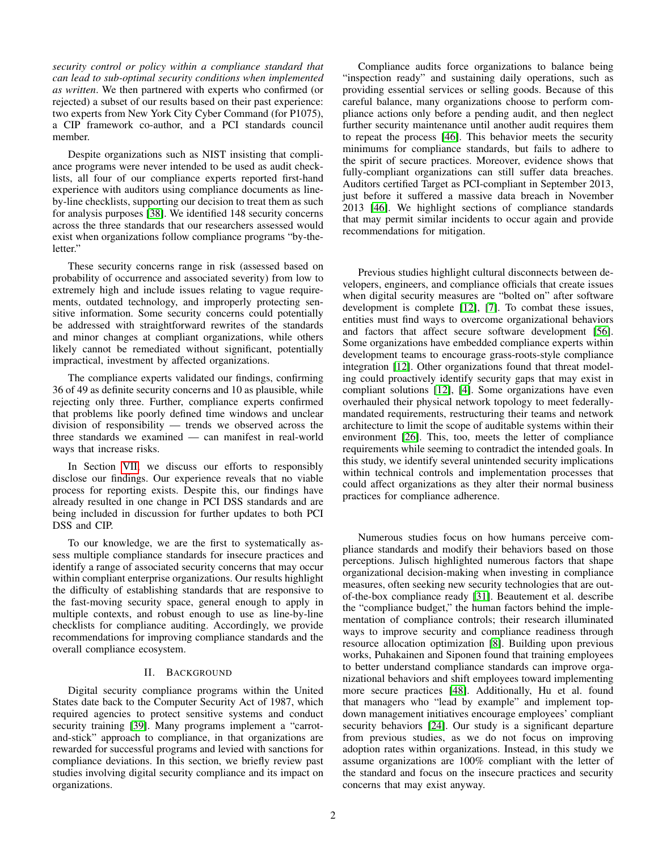*security control or policy within a compliance standard that can lead to sub-optimal security conditions when implemented as written*. We then partnered with experts who confirmed (or rejected) a subset of our results based on their past experience: two experts from New York City Cyber Command (for P1075), a CIP framework co-author, and a PCI standards council member.

Despite organizations such as NIST insisting that compliance programs were never intended to be used as audit checklists, all four of our compliance experts reported first-hand experience with auditors using compliance documents as lineby-line checklists, supporting our decision to treat them as such for analysis purposes [\[38\]](#page-13-6). We identified 148 security concerns across the three standards that our researchers assessed would exist when organizations follow compliance programs "by-theletter."

These security concerns range in risk (assessed based on probability of occurrence and associated severity) from low to extremely high and include issues relating to vague requirements, outdated technology, and improperly protecting sensitive information. Some security concerns could potentially be addressed with straightforward rewrites of the standards and minor changes at compliant organizations, while others likely cannot be remediated without significant, potentially impractical, investment by affected organizations.

The compliance experts validated our findings, confirming 36 of 49 as definite security concerns and 10 as plausible, while rejecting only three. Further, compliance experts confirmed that problems like poorly defined time windows and unclear division of responsibility — trends we observed across the three standards we examined — can manifest in real-world ways that increase risks.

In Section [VII,](#page-11-0) we discuss our efforts to responsibly disclose our findings. Our experience reveals that no viable process for reporting exists. Despite this, our findings have already resulted in one change in PCI DSS standards and are being included in discussion for further updates to both PCI DSS and CIP.

To our knowledge, we are the first to systematically assess multiple compliance standards for insecure practices and identify a range of associated security concerns that may occur within compliant enterprise organizations. Our results highlight the difficulty of establishing standards that are responsive to the fast-moving security space, general enough to apply in multiple contexts, and robust enough to use as line-by-line checklists for compliance auditing. Accordingly, we provide recommendations for improving compliance standards and the overall compliance ecosystem.

## II. BACKGROUND

Digital security compliance programs within the United States date back to the Computer Security Act of 1987, which required agencies to protect sensitive systems and conduct security training [\[39\]](#page-13-7). Many programs implement a "carrotand-stick" approach to compliance, in that organizations are rewarded for successful programs and levied with sanctions for compliance deviations. In this section, we briefly review past studies involving digital security compliance and its impact on organizations.

Compliance audits force organizations to balance being "inspection ready" and sustaining daily operations, such as providing essential services or selling goods. Because of this careful balance, many organizations choose to perform compliance actions only before a pending audit, and then neglect further security maintenance until another audit requires them to repeat the process [\[46\]](#page-14-3). This behavior meets the security minimums for compliance standards, but fails to adhere to the spirit of secure practices. Moreover, evidence shows that fully-compliant organizations can still suffer data breaches. Auditors certified Target as PCI-compliant in September 2013, just before it suffered a massive data breach in November 2013 [\[46\]](#page-14-3). We highlight sections of compliance standards that may permit similar incidents to occur again and provide recommendations for mitigation.

Previous studies highlight cultural disconnects between developers, engineers, and compliance officials that create issues when digital security measures are "bolted on" after software development is complete [\[12\]](#page-13-8), [\[7\]](#page-13-9). To combat these issues, entities must find ways to overcome organizational behaviors and factors that affect secure software development [\[56\]](#page-14-4). Some organizations have embedded compliance experts within development teams to encourage grass-roots-style compliance integration [\[12\]](#page-13-8). Other organizations found that threat modeling could proactively identify security gaps that may exist in compliant solutions [\[12\]](#page-13-8), [\[4\]](#page-13-10). Some organizations have even overhauled their physical network topology to meet federallymandated requirements, restructuring their teams and network architecture to limit the scope of auditable systems within their environment [\[26\]](#page-13-11). This, too, meets the letter of compliance requirements while seeming to contradict the intended goals. In this study, we identify several unintended security implications within technical controls and implementation processes that could affect organizations as they alter their normal business practices for compliance adherence.

Numerous studies focus on how humans perceive compliance standards and modify their behaviors based on those perceptions. Julisch highlighted numerous factors that shape organizational decision-making when investing in compliance measures, often seeking new security technologies that are outof-the-box compliance ready [\[31\]](#page-13-5). Beautement et al. describe the "compliance budget," the human factors behind the implementation of compliance controls; their research illuminated ways to improve security and compliance readiness through resource allocation optimization [\[8\]](#page-13-12). Building upon previous works, Puhakainen and Siponen found that training employees to better understand compliance standards can improve organizational behaviors and shift employees toward implementing more secure practices [\[48\]](#page-14-5). Additionally, Hu et al. found that managers who "lead by example" and implement topdown management initiatives encourage employees' compliant security behaviors [\[24\]](#page-13-13). Our study is a significant departure from previous studies, as we do not focus on improving adoption rates within organizations. Instead, in this study we assume organizations are 100% compliant with the letter of the standard and focus on the insecure practices and security concerns that may exist anyway.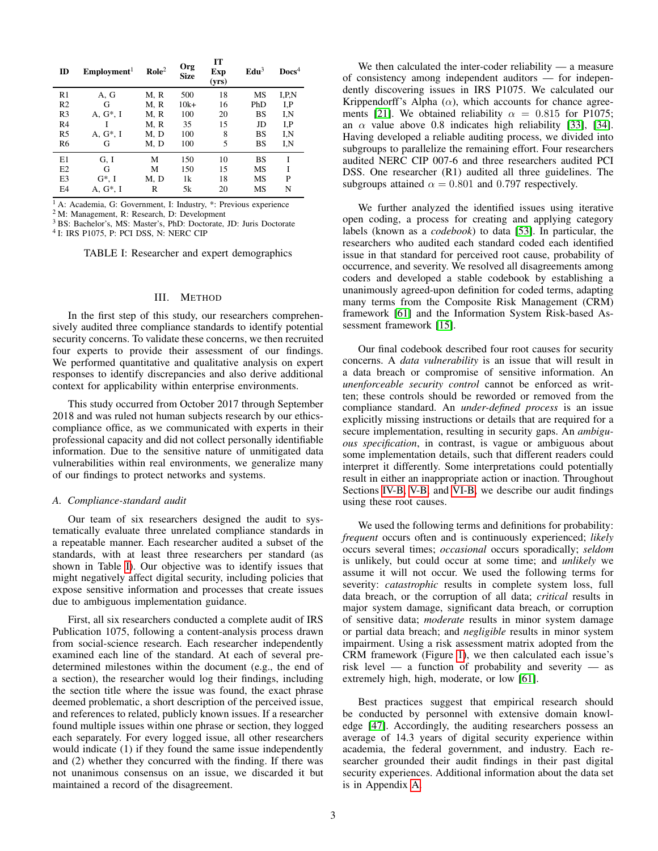<span id="page-2-0"></span>

| ID             | Employment <sup>1</sup> | $\text{Role}^2$ | Org<br><b>Size</b> | IT<br>Exp<br>(yrs) | Edu <sup>3</sup> | $\bf{D}ocs^4$ |
|----------------|-------------------------|-----------------|--------------------|--------------------|------------------|---------------|
| R <sub>1</sub> | A, G                    | M, R            | 500                | 18                 | MS               | I.P.N         |
| R <sub>2</sub> | G                       | M, R            | $10k+$             | 16                 | PhD              | I, P          |
| R <sub>3</sub> | A, $G^*$ , I            | M, R            | 100                | 20                 | <b>BS</b>        | I,N           |
| R <sub>4</sub> |                         | M, R            | 35                 | 15                 | JD               | I.P           |
| R <sub>5</sub> | $A, G^*, I$             | M, D            | 100                | 8                  | <b>BS</b>        | I,N           |
| R <sub>6</sub> | G                       | M, D            | 100                | 5                  | <b>BS</b>        | I,N           |
| E1             | G, I                    | М               | 150                | 10                 | <b>BS</b>        | Ī             |
| E2             | G                       | М               | 150                | 15                 | MS               | Ī             |
| E <sub>3</sub> | $G^*$ , I               | M, D            | 1k                 | 18                 | MS               | P             |
| E4             | A. G*. I                | R               | 5k                 | 20                 | MS               | N             |

<sup>1</sup> A: Academia, G: Government, I: Industry, \*: Previous experience

<sup>2</sup> M: Management, R: Research, D: Development

<sup>3</sup> BS: Bachelor's, MS: Master's, PhD: Doctorate, JD: Juris Doctorate 4 I: IRS P1075, P: PCI DSS, N: NERC CIP

TABLE I: Researcher and expert demographics

#### III. METHOD

In the first step of this study, our researchers comprehensively audited three compliance standards to identify potential security concerns. To validate these concerns, we then recruited four experts to provide their assessment of our findings. We performed quantitative and qualitative analysis on expert responses to identify discrepancies and also derive additional context for applicability within enterprise environments.

This study occurred from October 2017 through September 2018 and was ruled not human subjects research by our ethicscompliance office, as we communicated with experts in their professional capacity and did not collect personally identifiable information. Due to the sensitive nature of unmitigated data vulnerabilities within real environments, we generalize many of our findings to protect networks and systems.

## *A. Compliance-standard audit*

Our team of six researchers designed the audit to systematically evaluate three unrelated compliance standards in a repeatable manner. Each researcher audited a subset of the standards, with at least three researchers per standard (as shown in Table [I\)](#page-2-0). Our objective was to identify issues that might negatively affect digital security, including policies that expose sensitive information and processes that create issues due to ambiguous implementation guidance.

First, all six researchers conducted a complete audit of IRS Publication 1075, following a content-analysis process drawn from social-science research. Each researcher independently examined each line of the standard. At each of several predetermined milestones within the document (e.g., the end of a section), the researcher would log their findings, including the section title where the issue was found, the exact phrase deemed problematic, a short description of the perceived issue, and references to related, publicly known issues. If a researcher found multiple issues within one phrase or section, they logged each separately. For every logged issue, all other researchers would indicate (1) if they found the same issue independently and (2) whether they concurred with the finding. If there was not unanimous consensus on an issue, we discarded it but maintained a record of the disagreement.

We then calculated the inter-coder reliability — a measure of consistency among independent auditors — for independently discovering issues in IRS P1075. We calculated our Krippendorff's Alpha ( $\alpha$ ), which accounts for chance agree-ments [\[21\]](#page-13-14). We obtained reliability  $\alpha = 0.815$  for P1075; an  $\alpha$  value above 0.8 indicates high reliability [\[33\]](#page-13-15), [\[34\]](#page-13-16). Having developed a reliable auditing process, we divided into subgroups to parallelize the remaining effort. Four researchers audited NERC CIP 007-6 and three researchers audited PCI DSS. One researcher (R1) audited all three guidelines. The subgroups attained  $\alpha = 0.801$  and 0.797 respectively.

We further analyzed the identified issues using iterative open coding, a process for creating and applying category labels (known as a *codebook*) to data [\[53\]](#page-14-6). In particular, the researchers who audited each standard coded each identified issue in that standard for perceived root cause, probability of occurrence, and severity. We resolved all disagreements among coders and developed a stable codebook by establishing a unanimously agreed-upon definition for coded terms, adapting many terms from the Composite Risk Management (CRM) framework [\[61\]](#page-14-7) and the Information System Risk-based Assessment framework [\[15\]](#page-13-17).

Our final codebook described four root causes for security concerns. A *data vulnerability* is an issue that will result in a data breach or compromise of sensitive information. An *unenforceable security control* cannot be enforced as written; these controls should be reworded or removed from the compliance standard. An *under-defined process* is an issue explicitly missing instructions or details that are required for a secure implementation, resulting in security gaps. An *ambiguous specification*, in contrast, is vague or ambiguous about some implementation details, such that different readers could interpret it differently. Some interpretations could potentially result in either an inappropriate action or inaction. Throughout Sections [IV-B,](#page-4-0) [V-B,](#page-7-0) and [VI-B,](#page-9-0) we describe our audit findings using these root causes.

We used the following terms and definitions for probability: *frequent* occurs often and is continuously experienced; *likely* occurs several times; *occasional* occurs sporadically; *seldom* is unlikely, but could occur at some time; and *unlikely* we assume it will not occur. We used the following terms for severity: *catastrophic* results in complete system loss, full data breach, or the corruption of all data; *critical* results in major system damage, significant data breach, or corruption of sensitive data; *moderate* results in minor system damage or partial data breach; and *negligible* results in minor system impairment. Using a risk assessment matrix adopted from the CRM framework (Figure [1\)](#page-3-0), we then calculated each issue's risk level — a function of probability and severity — as extremely high, high, moderate, or low [\[61\]](#page-14-7).

Best practices suggest that empirical research should be conducted by personnel with extensive domain knowledge [\[47\]](#page-14-8). Accordingly, the auditing researchers possess an average of 14.3 years of digital security experience within academia, the federal government, and industry. Each researcher grounded their audit findings in their past digital security experiences. Additional information about the data set is in Appendix [A.](#page-14-9)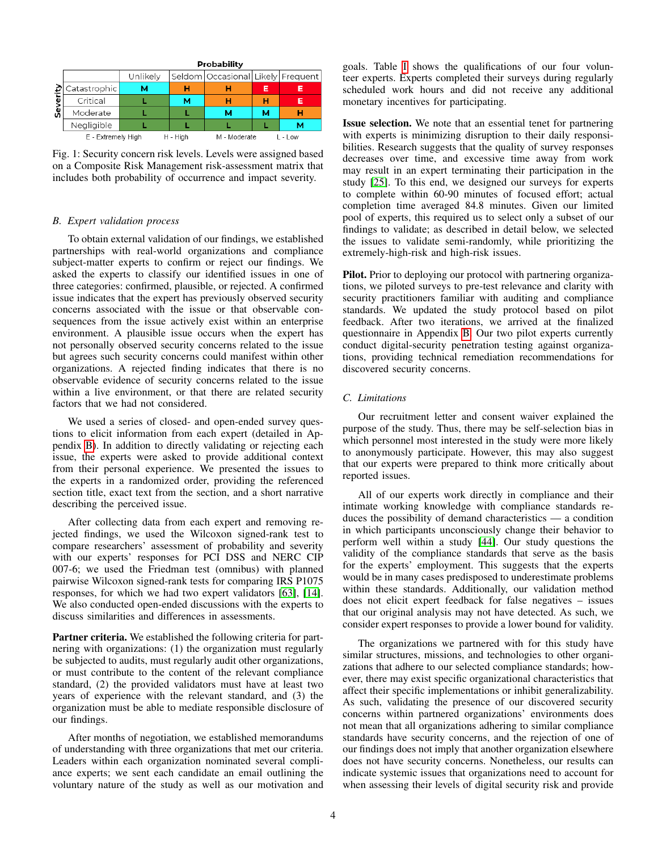<span id="page-3-0"></span>

Fig. 1: Security concern risk levels. Levels were assigned based on a Composite Risk Management risk-assessment matrix that includes both probability of occurrence and impact severity.

## <span id="page-3-1"></span>*B. Expert validation process*

To obtain external validation of our findings, we established partnerships with real-world organizations and compliance subject-matter experts to confirm or reject our findings. We asked the experts to classify our identified issues in one of three categories: confirmed, plausible, or rejected. A confirmed issue indicates that the expert has previously observed security concerns associated with the issue or that observable consequences from the issue actively exist within an enterprise environment. A plausible issue occurs when the expert has not personally observed security concerns related to the issue but agrees such security concerns could manifest within other organizations. A rejected finding indicates that there is no observable evidence of security concerns related to the issue within a live environment, or that there are related security factors that we had not considered.

We used a series of closed- and open-ended survey questions to elicit information from each expert (detailed in Appendix [B\)](#page-14-10). In addition to directly validating or rejecting each issue, the experts were asked to provide additional context from their personal experience. We presented the issues to the experts in a randomized order, providing the referenced section title, exact text from the section, and a short narrative describing the perceived issue.

After collecting data from each expert and removing rejected findings, we used the Wilcoxon signed-rank test to compare researchers' assessment of probability and severity with our experts' responses for PCI DSS and NERC CIP 007-6; we used the Friedman test (omnibus) with planned pairwise Wilcoxon signed-rank tests for comparing IRS P1075 responses, for which we had two expert validators [\[63\]](#page-14-11), [\[14\]](#page-13-18). We also conducted open-ended discussions with the experts to discuss similarities and differences in assessments.

Partner criteria. We established the following criteria for partnering with organizations: (1) the organization must regularly be subjected to audits, must regularly audit other organizations, or must contribute to the content of the relevant compliance standard, (2) the provided validators must have at least two years of experience with the relevant standard, and (3) the organization must be able to mediate responsible disclosure of our findings.

After months of negotiation, we established memorandums of understanding with three organizations that met our criteria. Leaders within each organization nominated several compliance experts; we sent each candidate an email outlining the voluntary nature of the study as well as our motivation and goals. Table [I](#page-2-0) shows the qualifications of our four volunteer experts. Experts completed their surveys during regularly scheduled work hours and did not receive any additional monetary incentives for participating.

Issue selection. We note that an essential tenet for partnering with experts is minimizing disruption to their daily responsibilities. Research suggests that the quality of survey responses decreases over time, and excessive time away from work may result in an expert terminating their participation in the study [\[25\]](#page-13-19). To this end, we designed our surveys for experts to complete within 60-90 minutes of focused effort; actual completion time averaged 84.8 minutes. Given our limited pool of experts, this required us to select only a subset of our findings to validate; as described in detail below, we selected the issues to validate semi-randomly, while prioritizing the extremely-high-risk and high-risk issues.

Pilot. Prior to deploying our protocol with partnering organizations, we piloted surveys to pre-test relevance and clarity with security practitioners familiar with auditing and compliance standards. We updated the study protocol based on pilot feedback. After two iterations, we arrived at the finalized questionnaire in Appendix [B.](#page-14-10) Our two pilot experts currently conduct digital-security penetration testing against organizations, providing technical remediation recommendations for discovered security concerns.

#### *C. Limitations*

Our recruitment letter and consent waiver explained the purpose of the study. Thus, there may be self-selection bias in which personnel most interested in the study were more likely to anonymously participate. However, this may also suggest that our experts were prepared to think more critically about reported issues.

All of our experts work directly in compliance and their intimate working knowledge with compliance standards reduces the possibility of demand characteristics — a condition in which participants unconsciously change their behavior to perform well within a study [\[44\]](#page-14-12). Our study questions the validity of the compliance standards that serve as the basis for the experts' employment. This suggests that the experts would be in many cases predisposed to underestimate problems within these standards. Additionally, our validation method does not elicit expert feedback for false negatives – issues that our original analysis may not have detected. As such, we consider expert responses to provide a lower bound for validity.

The organizations we partnered with for this study have similar structures, missions, and technologies to other organizations that adhere to our selected compliance standards; however, there may exist specific organizational characteristics that affect their specific implementations or inhibit generalizability. As such, validating the presence of our discovered security concerns within partnered organizations' environments does not mean that all organizations adhering to similar compliance standards have security concerns, and the rejection of one of our findings does not imply that another organization elsewhere does not have security concerns. Nonetheless, our results can indicate systemic issues that organizations need to account for when assessing their levels of digital security risk and provide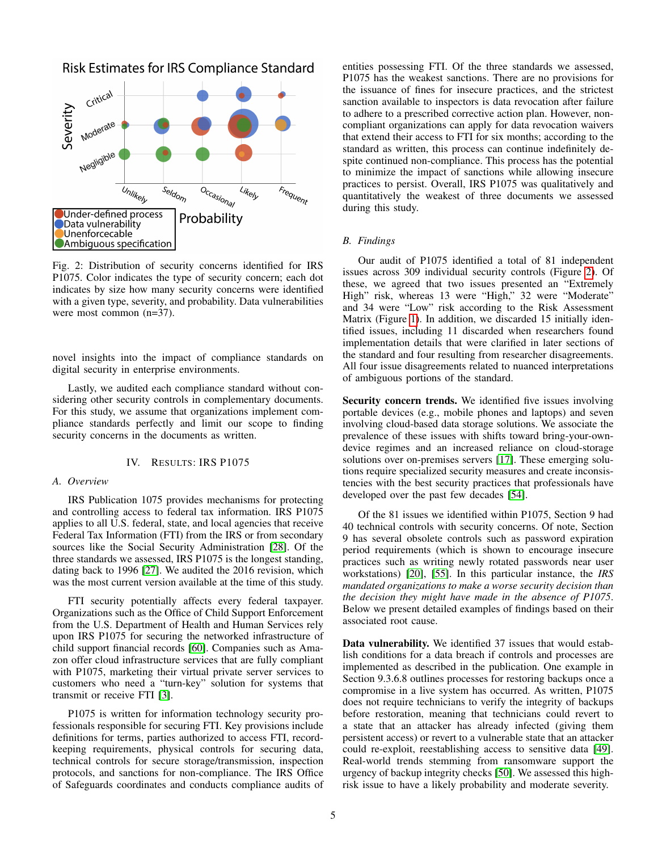<span id="page-4-1"></span>Risk Estimates for IRS Compliance Standard



Fig. 2: Distribution of security concerns identified for IRS P1075. Color indicates the type of security concern; each dot indicates by size how many security concerns were identified with a given type, severity, and probability. Data vulnerabilities were most common (n=37).

novel insights into the impact of compliance standards on digital security in enterprise environments.

Lastly, we audited each compliance standard without considering other security controls in complementary documents. For this study, we assume that organizations implement compliance standards perfectly and limit our scope to finding security concerns in the documents as written.

#### IV. RESULTS: IRS P1075

#### *A. Overview*

IRS Publication 1075 provides mechanisms for protecting and controlling access to federal tax information. IRS P1075 applies to all U.S. federal, state, and local agencies that receive Federal Tax Information (FTI) from the IRS or from secondary sources like the Social Security Administration [\[28\]](#page-13-20). Of the three standards we assessed, IRS P1075 is the longest standing, dating back to 1996 [\[27\]](#page-13-21). We audited the 2016 revision, which was the most current version available at the time of this study.

FTI security potentially affects every federal taxpayer. Organizations such as the Office of Child Support Enforcement from the U.S. Department of Health and Human Services rely upon IRS P1075 for securing the networked infrastructure of child support financial records [\[60\]](#page-14-13). Companies such as Amazon offer cloud infrastructure services that are fully compliant with P1075, marketing their virtual private server services to customers who need a "turn-key" solution for systems that transmit or receive FTI [\[3\]](#page-13-4).

P1075 is written for information technology security professionals responsible for securing FTI. Key provisions include definitions for terms, parties authorized to access FTI, recordkeeping requirements, physical controls for securing data, technical controls for secure storage/transmission, inspection protocols, and sanctions for non-compliance. The IRS Office of Safeguards coordinates and conducts compliance audits of entities possessing FTI. Of the three standards we assessed, P1075 has the weakest sanctions. There are no provisions for the issuance of fines for insecure practices, and the strictest sanction available to inspectors is data revocation after failure to adhere to a prescribed corrective action plan. However, noncompliant organizations can apply for data revocation waivers that extend their access to FTI for six months; according to the standard as written, this process can continue indefinitely despite continued non-compliance. This process has the potential to minimize the impact of sanctions while allowing insecure practices to persist. Overall, IRS P1075 was qualitatively and quantitatively the weakest of three documents we assessed during this study.

### <span id="page-4-0"></span>*B. Findings*

Our audit of P1075 identified a total of 81 independent issues across 309 individual security controls (Figure [2\)](#page-4-1). Of these, we agreed that two issues presented an "Extremely High" risk, whereas 13 were "High," 32 were "Moderate" and 34 were "Low" risk according to the Risk Assessment Matrix (Figure [1\)](#page-3-0). In addition, we discarded 15 initially identified issues, including 11 discarded when researchers found implementation details that were clarified in later sections of the standard and four resulting from researcher disagreements. All four issue disagreements related to nuanced interpretations of ambiguous portions of the standard.

Security concern trends. We identified five issues involving portable devices (e.g., mobile phones and laptops) and seven involving cloud-based data storage solutions. We associate the prevalence of these issues with shifts toward bring-your-owndevice regimes and an increased reliance on cloud-storage solutions over on-premises servers [\[17\]](#page-13-22). These emerging solutions require specialized security measures and create inconsistencies with the best security practices that professionals have developed over the past few decades [\[54\]](#page-14-14).

Of the 81 issues we identified within P1075, Section 9 had 40 technical controls with security concerns. Of note, Section 9 has several obsolete controls such as password expiration period requirements (which is shown to encourage insecure practices such as writing newly rotated passwords near user workstations) [\[20\]](#page-13-23), [\[55\]](#page-14-15). In this particular instance, the *IRS mandated organizations to make a worse security decision than the decision they might have made in the absence of P1075*. Below we present detailed examples of findings based on their associated root cause.

Data vulnerability. We identified 37 issues that would establish conditions for a data breach if controls and processes are implemented as described in the publication. One example in Section 9.3.6.8 outlines processes for restoring backups once a compromise in a live system has occurred. As written, P1075 does not require technicians to verify the integrity of backups before restoration, meaning that technicians could revert to a state that an attacker has already infected (giving them persistent access) or revert to a vulnerable state that an attacker could re-exploit, reestablishing access to sensitive data [\[49\]](#page-14-16). Real-world trends stemming from ransomware support the urgency of backup integrity checks [\[50\]](#page-14-17). We assessed this highrisk issue to have a likely probability and moderate severity.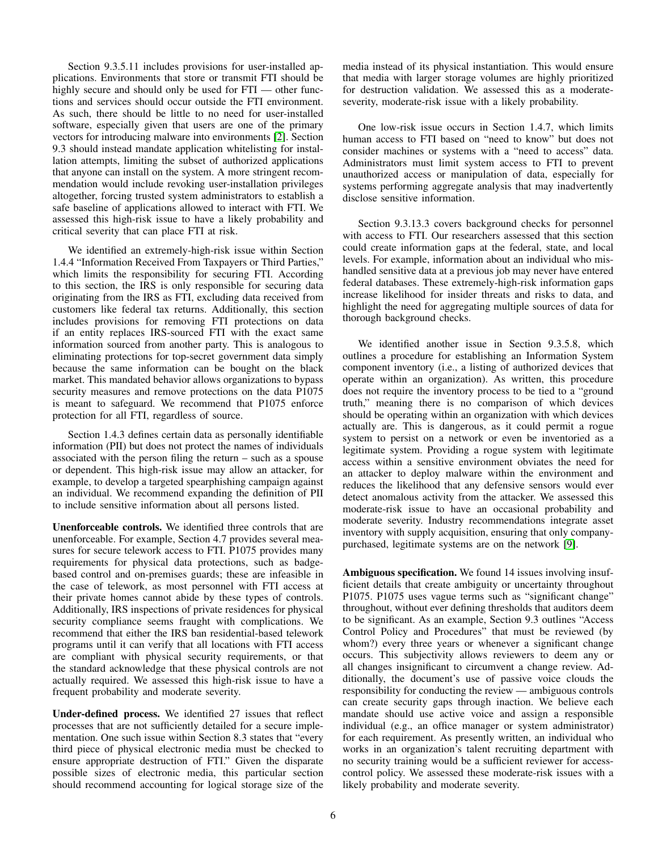Section 9.3.5.11 includes provisions for user-installed applications. Environments that store or transmit FTI should be highly secure and should only be used for  $FTI$  — other functions and services should occur outside the FTI environment. As such, there should be little to no need for user-installed software, especially given that users are one of the primary vectors for introducing malware into environments [\[2\]](#page-13-24). Section 9.3 should instead mandate application whitelisting for installation attempts, limiting the subset of authorized applications that anyone can install on the system. A more stringent recommendation would include revoking user-installation privileges altogether, forcing trusted system administrators to establish a safe baseline of applications allowed to interact with FTI. We assessed this high-risk issue to have a likely probability and critical severity that can place FTI at risk.

We identified an extremely-high-risk issue within Section 1.4.4 "Information Received From Taxpayers or Third Parties," which limits the responsibility for securing FTI. According to this section, the IRS is only responsible for securing data originating from the IRS as FTI, excluding data received from customers like federal tax returns. Additionally, this section includes provisions for removing FTI protections on data if an entity replaces IRS-sourced FTI with the exact same information sourced from another party. This is analogous to eliminating protections for top-secret government data simply because the same information can be bought on the black market. This mandated behavior allows organizations to bypass security measures and remove protections on the data P1075 is meant to safeguard. We recommend that P1075 enforce protection for all FTI, regardless of source.

Section 1.4.3 defines certain data as personally identifiable information (PII) but does not protect the names of individuals associated with the person filing the return – such as a spouse or dependent. This high-risk issue may allow an attacker, for example, to develop a targeted spearphishing campaign against an individual. We recommend expanding the definition of PII to include sensitive information about all persons listed.

Unenforceable controls. We identified three controls that are unenforceable. For example, Section 4.7 provides several measures for secure telework access to FTI. P1075 provides many requirements for physical data protections, such as badgebased control and on-premises guards; these are infeasible in the case of telework, as most personnel with FTI access at their private homes cannot abide by these types of controls. Additionally, IRS inspections of private residences for physical security compliance seems fraught with complications. We recommend that either the IRS ban residential-based telework programs until it can verify that all locations with FTI access are compliant with physical security requirements, or that the standard acknowledge that these physical controls are not actually required. We assessed this high-risk issue to have a frequent probability and moderate severity.

Under-defined process. We identified 27 issues that reflect processes that are not sufficiently detailed for a secure implementation. One such issue within Section 8.3 states that "every third piece of physical electronic media must be checked to ensure appropriate destruction of FTI." Given the disparate possible sizes of electronic media, this particular section should recommend accounting for logical storage size of the media instead of its physical instantiation. This would ensure that media with larger storage volumes are highly prioritized for destruction validation. We assessed this as a moderateseverity, moderate-risk issue with a likely probability.

One low-risk issue occurs in Section 1.4.7, which limits human access to FTI based on "need to know" but does not consider machines or systems with a "need to access" data. Administrators must limit system access to FTI to prevent unauthorized access or manipulation of data, especially for systems performing aggregate analysis that may inadvertently disclose sensitive information.

Section 9.3.13.3 covers background checks for personnel with access to FTI. Our researchers assessed that this section could create information gaps at the federal, state, and local levels. For example, information about an individual who mishandled sensitive data at a previous job may never have entered federal databases. These extremely-high-risk information gaps increase likelihood for insider threats and risks to data, and highlight the need for aggregating multiple sources of data for thorough background checks.

We identified another issue in Section 9.3.5.8, which outlines a procedure for establishing an Information System component inventory (i.e., a listing of authorized devices that operate within an organization). As written, this procedure does not require the inventory process to be tied to a "ground truth," meaning there is no comparison of which devices should be operating within an organization with which devices actually are. This is dangerous, as it could permit a rogue system to persist on a network or even be inventoried as a legitimate system. Providing a rogue system with legitimate access within a sensitive environment obviates the need for an attacker to deploy malware within the environment and reduces the likelihood that any defensive sensors would ever detect anomalous activity from the attacker. We assessed this moderate-risk issue to have an occasional probability and moderate severity. Industry recommendations integrate asset inventory with supply acquisition, ensuring that only companypurchased, legitimate systems are on the network [\[9\]](#page-13-25).

Ambiguous specification. We found 14 issues involving insufficient details that create ambiguity or uncertainty throughout P1075. P1075 uses vague terms such as "significant change" throughout, without ever defining thresholds that auditors deem to be significant. As an example, Section 9.3 outlines "Access Control Policy and Procedures" that must be reviewed (by whom?) every three years or whenever a significant change occurs. This subjectivity allows reviewers to deem any or all changes insignificant to circumvent a change review. Additionally, the document's use of passive voice clouds the responsibility for conducting the review — ambiguous controls can create security gaps through inaction. We believe each mandate should use active voice and assign a responsible individual (e.g., an office manager or system administrator) for each requirement. As presently written, an individual who works in an organization's talent recruiting department with no security training would be a sufficient reviewer for accesscontrol policy. We assessed these moderate-risk issues with a likely probability and moderate severity.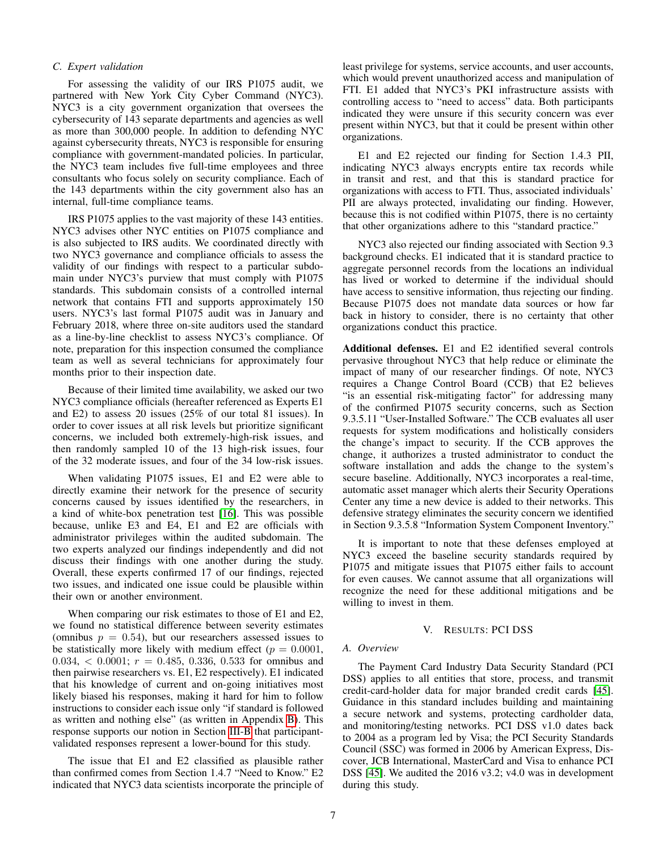## *C. Expert validation*

For assessing the validity of our IRS P1075 audit, we partnered with New York City Cyber Command (NYC3). NYC3 is a city government organization that oversees the cybersecurity of 143 separate departments and agencies as well as more than 300,000 people. In addition to defending NYC against cybersecurity threats, NYC3 is responsible for ensuring compliance with government-mandated policies. In particular, the NYC3 team includes five full-time employees and three consultants who focus solely on security compliance. Each of the 143 departments within the city government also has an internal, full-time compliance teams.

IRS P1075 applies to the vast majority of these 143 entities. NYC3 advises other NYC entities on P1075 compliance and is also subjected to IRS audits. We coordinated directly with two NYC3 governance and compliance officials to assess the validity of our findings with respect to a particular subdomain under NYC3's purview that must comply with P1075 standards. This subdomain consists of a controlled internal network that contains FTI and supports approximately 150 users. NYC3's last formal P1075 audit was in January and February 2018, where three on-site auditors used the standard as a line-by-line checklist to assess NYC3's compliance. Of note, preparation for this inspection consumed the compliance team as well as several technicians for approximately four months prior to their inspection date.

Because of their limited time availability, we asked our two NYC3 compliance officials (hereafter referenced as Experts E1 and E2) to assess 20 issues (25% of our total 81 issues). In order to cover issues at all risk levels but prioritize significant concerns, we included both extremely-high-risk issues, and then randomly sampled 10 of the 13 high-risk issues, four of the 32 moderate issues, and four of the 34 low-risk issues.

When validating P1075 issues, E1 and E2 were able to directly examine their network for the presence of security concerns caused by issues identified by the researchers, in a kind of white-box penetration test [\[16\]](#page-13-26). This was possible because, unlike E3 and E4, E1 and E2 are officials with administrator privileges within the audited subdomain. The two experts analyzed our findings independently and did not discuss their findings with one another during the study. Overall, these experts confirmed 17 of our findings, rejected two issues, and indicated one issue could be plausible within their own or another environment.

When comparing our risk estimates to those of E1 and E2, we found no statistical difference between severity estimates (omnibus  $p = 0.54$ ), but our researchers assessed issues to be statistically more likely with medium effect ( $p = 0.0001$ ,  $0.034, < 0.0001$ ;  $r = 0.485, 0.336, 0.533$  for omnibus and then pairwise researchers vs. E1, E2 respectively). E1 indicated that his knowledge of current and on-going initiatives most likely biased his responses, making it hard for him to follow instructions to consider each issue only "if standard is followed as written and nothing else" (as written in Appendix [B\)](#page-14-10). This response supports our notion in Section [III-B](#page-3-1) that participantvalidated responses represent a lower-bound for this study.

The issue that E1 and E2 classified as plausible rather than confirmed comes from Section 1.4.7 "Need to Know." E2 indicated that NYC3 data scientists incorporate the principle of least privilege for systems, service accounts, and user accounts, which would prevent unauthorized access and manipulation of FTI. E1 added that NYC3's PKI infrastructure assists with controlling access to "need to access" data. Both participants indicated they were unsure if this security concern was ever present within NYC3, but that it could be present within other organizations.

E1 and E2 rejected our finding for Section 1.4.3 PII, indicating NYC3 always encrypts entire tax records while in transit and rest, and that this is standard practice for organizations with access to FTI. Thus, associated individuals' PII are always protected, invalidating our finding. However, because this is not codified within P1075, there is no certainty that other organizations adhere to this "standard practice."

NYC3 also rejected our finding associated with Section 9.3 background checks. E1 indicated that it is standard practice to aggregate personnel records from the locations an individual has lived or worked to determine if the individual should have access to sensitive information, thus rejecting our finding. Because P1075 does not mandate data sources or how far back in history to consider, there is no certainty that other organizations conduct this practice.

Additional defenses. E1 and E2 identified several controls pervasive throughout NYC3 that help reduce or eliminate the impact of many of our researcher findings. Of note, NYC3 requires a Change Control Board (CCB) that E2 believes "is an essential risk-mitigating factor" for addressing many of the confirmed P1075 security concerns, such as Section 9.3.5.11 "User-Installed Software." The CCB evaluates all user requests for system modifications and holistically considers the change's impact to security. If the CCB approves the change, it authorizes a trusted administrator to conduct the software installation and adds the change to the system's secure baseline. Additionally, NYC3 incorporates a real-time, automatic asset manager which alerts their Security Operations Center any time a new device is added to their networks. This defensive strategy eliminates the security concern we identified in Section 9.3.5.8 "Information System Component Inventory."

It is important to note that these defenses employed at NYC3 exceed the baseline security standards required by P1075 and mitigate issues that P1075 either fails to account for even causes. We cannot assume that all organizations will recognize the need for these additional mitigations and be willing to invest in them.

## V. RESULTS: PCI DSS

## *A. Overview*

The Payment Card Industry Data Security Standard (PCI DSS) applies to all entities that store, process, and transmit credit-card-holder data for major branded credit cards [\[45\]](#page-14-18). Guidance in this standard includes building and maintaining a secure network and systems, protecting cardholder data, and monitoring/testing networks. PCI DSS v1.0 dates back to 2004 as a program led by Visa; the PCI Security Standards Council (SSC) was formed in 2006 by American Express, Discover, JCB International, MasterCard and Visa to enhance PCI DSS [\[45\]](#page-14-18). We audited the 2016 v3.2; v4.0 was in development during this study.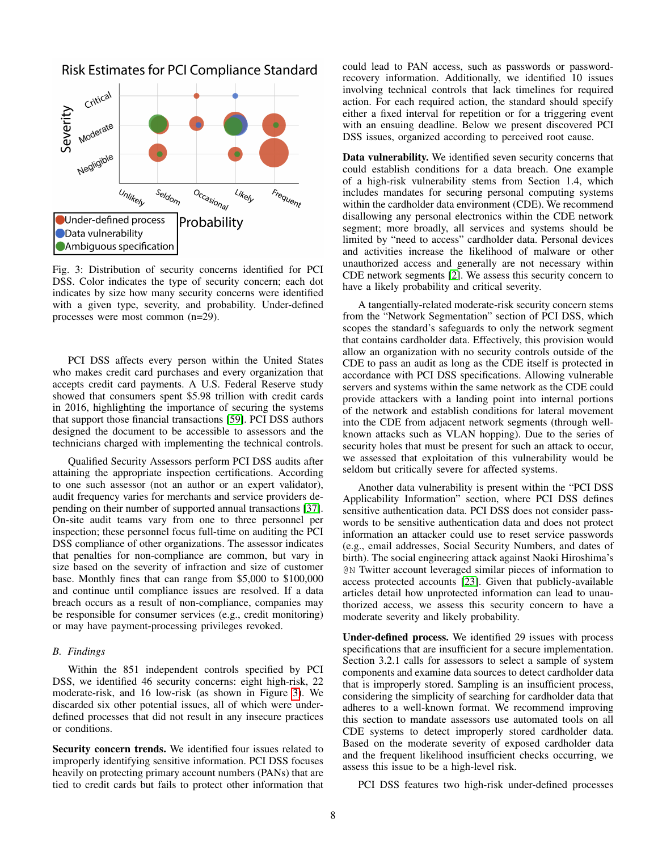

<span id="page-7-1"></span>Risk Estimates for PCI Compliance Standard

Fig. 3: Distribution of security concerns identified for PCI DSS. Color indicates the type of security concern; each dot indicates by size how many security concerns were identified with a given type, severity, and probability. Under-defined processes were most common (n=29).

PCI DSS affects every person within the United States who makes credit card purchases and every organization that accepts credit card payments. A U.S. Federal Reserve study showed that consumers spent \$5.98 trillion with credit cards in 2016, highlighting the importance of securing the systems that support those financial transactions [\[59\]](#page-14-19). PCI DSS authors designed the document to be accessible to assessors and the technicians charged with implementing the technical controls.

Qualified Security Assessors perform PCI DSS audits after attaining the appropriate inspection certifications. According to one such assessor (not an author or an expert validator), audit frequency varies for merchants and service providers depending on their number of supported annual transactions [\[37\]](#page-13-27). On-site audit teams vary from one to three personnel per inspection; these personnel focus full-time on auditing the PCI DSS compliance of other organizations. The assessor indicates that penalties for non-compliance are common, but vary in size based on the severity of infraction and size of customer base. Monthly fines that can range from \$5,000 to \$100,000 and continue until compliance issues are resolved. If a data breach occurs as a result of non-compliance, companies may be responsible for consumer services (e.g., credit monitoring) or may have payment-processing privileges revoked.

#### <span id="page-7-0"></span>*B. Findings*

Within the 851 independent controls specified by PCI DSS, we identified 46 security concerns: eight high-risk, 22 moderate-risk, and 16 low-risk (as shown in Figure [3\)](#page-7-1). We discarded six other potential issues, all of which were underdefined processes that did not result in any insecure practices or conditions.

Security concern trends. We identified four issues related to improperly identifying sensitive information. PCI DSS focuses heavily on protecting primary account numbers (PANs) that are tied to credit cards but fails to protect other information that could lead to PAN access, such as passwords or passwordrecovery information. Additionally, we identified 10 issues involving technical controls that lack timelines for required action. For each required action, the standard should specify either a fixed interval for repetition or for a triggering event with an ensuing deadline. Below we present discovered PCI DSS issues, organized according to perceived root cause.

Data vulnerability. We identified seven security concerns that could establish conditions for a data breach. One example of a high-risk vulnerability stems from Section 1.4, which includes mandates for securing personal computing systems within the cardholder data environment (CDE). We recommend disallowing any personal electronics within the CDE network segment; more broadly, all services and systems should be limited by "need to access" cardholder data. Personal devices and activities increase the likelihood of malware or other unauthorized access and generally are not necessary within CDE network segments [\[2\]](#page-13-24). We assess this security concern to have a likely probability and critical severity.

A tangentially-related moderate-risk security concern stems from the "Network Segmentation" section of PCI DSS, which scopes the standard's safeguards to only the network segment that contains cardholder data. Effectively, this provision would allow an organization with no security controls outside of the CDE to pass an audit as long as the CDE itself is protected in accordance with PCI DSS specifications. Allowing vulnerable servers and systems within the same network as the CDE could provide attackers with a landing point into internal portions of the network and establish conditions for lateral movement into the CDE from adjacent network segments (through wellknown attacks such as VLAN hopping). Due to the series of security holes that must be present for such an attack to occur, we assessed that exploitation of this vulnerability would be seldom but critically severe for affected systems.

Another data vulnerability is present within the "PCI DSS Applicability Information" section, where PCI DSS defines sensitive authentication data. PCI DSS does not consider passwords to be sensitive authentication data and does not protect information an attacker could use to reset service passwords (e.g., email addresses, Social Security Numbers, and dates of birth). The social engineering attack against Naoki Hiroshima's @N Twitter account leveraged similar pieces of information to access protected accounts [\[23\]](#page-13-28). Given that publicly-available articles detail how unprotected information can lead to unauthorized access, we assess this security concern to have a moderate severity and likely probability.

Under-defined process. We identified 29 issues with process specifications that are insufficient for a secure implementation. Section 3.2.1 calls for assessors to select a sample of system components and examine data sources to detect cardholder data that is improperly stored. Sampling is an insufficient process, considering the simplicity of searching for cardholder data that adheres to a well-known format. We recommend improving this section to mandate assessors use automated tools on all CDE systems to detect improperly stored cardholder data. Based on the moderate severity of exposed cardholder data and the frequent likelihood insufficient checks occurring, we assess this issue to be a high-level risk.

PCI DSS features two high-risk under-defined processes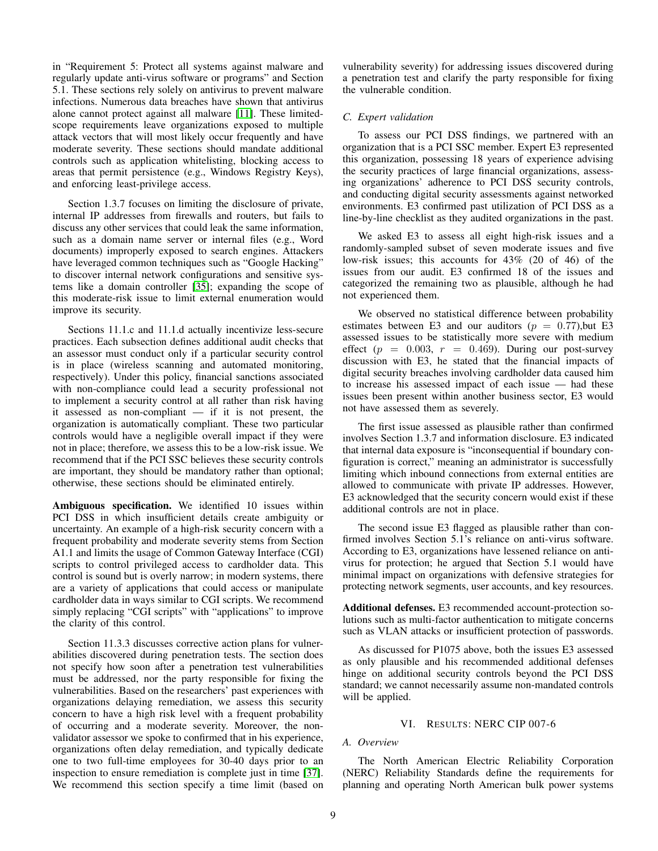in "Requirement 5: Protect all systems against malware and regularly update anti-virus software or programs" and Section 5.1. These sections rely solely on antivirus to prevent malware infections. Numerous data breaches have shown that antivirus alone cannot protect against all malware [\[11\]](#page-13-29). These limitedscope requirements leave organizations exposed to multiple attack vectors that will most likely occur frequently and have moderate severity. These sections should mandate additional controls such as application whitelisting, blocking access to areas that permit persistence (e.g., Windows Registry Keys), and enforcing least-privilege access.

Section 1.3.7 focuses on limiting the disclosure of private, internal IP addresses from firewalls and routers, but fails to discuss any other services that could leak the same information, such as a domain name server or internal files (e.g., Word documents) improperly exposed to search engines. Attackers have leveraged common techniques such as "Google Hacking" to discover internal network configurations and sensitive systems like a domain controller [\[35\]](#page-13-30); expanding the scope of this moderate-risk issue to limit external enumeration would improve its security.

Sections 11.1.c and 11.1.d actually incentivize less-secure practices. Each subsection defines additional audit checks that an assessor must conduct only if a particular security control is in place (wireless scanning and automated monitoring, respectively). Under this policy, financial sanctions associated with non-compliance could lead a security professional not to implement a security control at all rather than risk having it assessed as non-compliant — if it is not present, the organization is automatically compliant. These two particular controls would have a negligible overall impact if they were not in place; therefore, we assess this to be a low-risk issue. We recommend that if the PCI SSC believes these security controls are important, they should be mandatory rather than optional; otherwise, these sections should be eliminated entirely.

Ambiguous specification. We identified 10 issues within PCI DSS in which insufficient details create ambiguity or uncertainty. An example of a high-risk security concern with a frequent probability and moderate severity stems from Section A1.1 and limits the usage of Common Gateway Interface (CGI) scripts to control privileged access to cardholder data. This control is sound but is overly narrow; in modern systems, there are a variety of applications that could access or manipulate cardholder data in ways similar to CGI scripts. We recommend simply replacing "CGI scripts" with "applications" to improve the clarity of this control.

Section 11.3.3 discusses corrective action plans for vulnerabilities discovered during penetration tests. The section does not specify how soon after a penetration test vulnerabilities must be addressed, nor the party responsible for fixing the vulnerabilities. Based on the researchers' past experiences with organizations delaying remediation, we assess this security concern to have a high risk level with a frequent probability of occurring and a moderate severity. Moreover, the nonvalidator assessor we spoke to confirmed that in his experience, organizations often delay remediation, and typically dedicate one to two full-time employees for 30-40 days prior to an inspection to ensure remediation is complete just in time [\[37\]](#page-13-27). We recommend this section specify a time limit (based on vulnerability severity) for addressing issues discovered during a penetration test and clarify the party responsible for fixing the vulnerable condition.

## *C. Expert validation*

To assess our PCI DSS findings, we partnered with an organization that is a PCI SSC member. Expert E3 represented this organization, possessing 18 years of experience advising the security practices of large financial organizations, assessing organizations' adherence to PCI DSS security controls, and conducting digital security assessments against networked environments. E3 confirmed past utilization of PCI DSS as a line-by-line checklist as they audited organizations in the past.

We asked E3 to assess all eight high-risk issues and a randomly-sampled subset of seven moderate issues and five low-risk issues; this accounts for 43% (20 of 46) of the issues from our audit. E3 confirmed 18 of the issues and categorized the remaining two as plausible, although he had not experienced them.

We observed no statistical difference between probability estimates between E3 and our auditors ( $p = 0.77$ ), but E3 assessed issues to be statistically more severe with medium effect  $(p = 0.003, r = 0.469)$ . During our post-survey discussion with E3, he stated that the financial impacts of digital security breaches involving cardholder data caused him to increase his assessed impact of each issue — had these issues been present within another business sector, E3 would not have assessed them as severely.

The first issue assessed as plausible rather than confirmed involves Section 1.3.7 and information disclosure. E3 indicated that internal data exposure is "inconsequential if boundary configuration is correct," meaning an administrator is successfully limiting which inbound connections from external entities are allowed to communicate with private IP addresses. However, E3 acknowledged that the security concern would exist if these additional controls are not in place.

The second issue E3 flagged as plausible rather than confirmed involves Section 5.1's reliance on anti-virus software. According to E3, organizations have lessened reliance on antivirus for protection; he argued that Section 5.1 would have minimal impact on organizations with defensive strategies for protecting network segments, user accounts, and key resources.

Additional defenses. E3 recommended account-protection solutions such as multi-factor authentication to mitigate concerns such as VLAN attacks or insufficient protection of passwords.

As discussed for P1075 above, both the issues E3 assessed as only plausible and his recommended additional defenses hinge on additional security controls beyond the PCI DSS standard; we cannot necessarily assume non-mandated controls will be applied.

## VI. RESULTS: NERC CIP 007-6

## *A. Overview*

The North American Electric Reliability Corporation (NERC) Reliability Standards define the requirements for planning and operating North American bulk power systems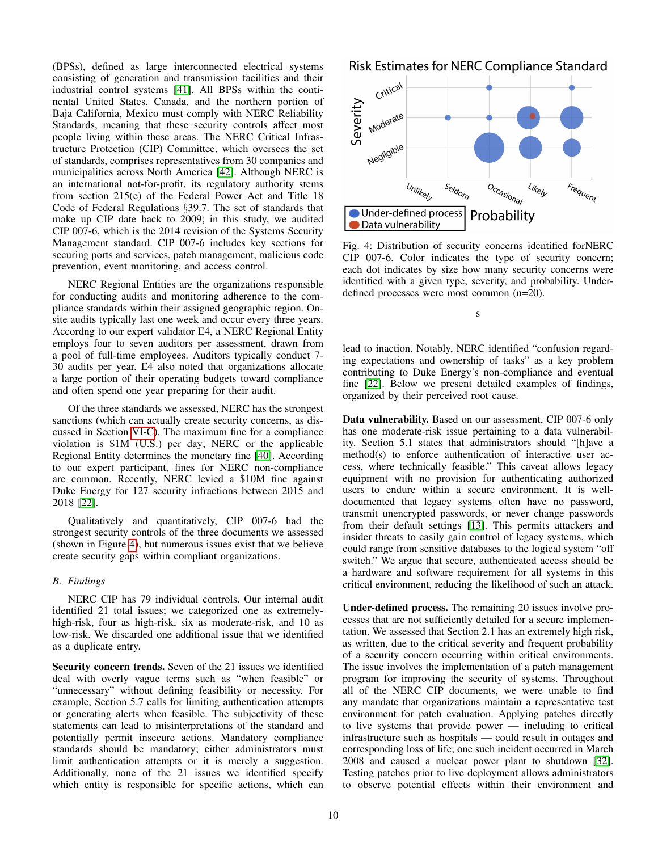(BPSs), defined as large interconnected electrical systems consisting of generation and transmission facilities and their industrial control systems [\[41\]](#page-14-20). All BPSs within the continental United States, Canada, and the northern portion of Baja California, Mexico must comply with NERC Reliability Standards, meaning that these security controls affect most people living within these areas. The NERC Critical Infrastructure Protection (CIP) Committee, which oversees the set of standards, comprises representatives from 30 companies and municipalities across North America [\[42\]](#page-14-21). Although NERC is an international not-for-profit, its regulatory authority stems from section 215(e) of the Federal Power Act and Title 18 Code of Federal Regulations §39.7. The set of standards that make up CIP date back to 2009; in this study, we audited CIP 007-6, which is the 2014 revision of the Systems Security Management standard. CIP 007-6 includes key sections for securing ports and services, patch management, malicious code prevention, event monitoring, and access control.

NERC Regional Entities are the organizations responsible for conducting audits and monitoring adherence to the compliance standards within their assigned geographic region. Onsite audits typically last one week and occur every three years. Accordng to our expert validator E4, a NERC Regional Entity employs four to seven auditors per assessment, drawn from a pool of full-time employees. Auditors typically conduct 7- 30 audits per year. E4 also noted that organizations allocate a large portion of their operating budgets toward compliance and often spend one year preparing for their audit.

Of the three standards we assessed, NERC has the strongest sanctions (which can actually create security concerns, as discussed in Section [VI-C\)](#page-10-0). The maximum fine for a compliance violation is \$1M (U.S.) per day; NERC or the applicable Regional Entity determines the monetary fine [\[40\]](#page-14-1). According to our expert participant, fines for NERC non-compliance are common. Recently, NERC levied a \$10M fine against Duke Energy for 127 security infractions between 2015 and 2018 [\[22\]](#page-13-31).

Qualitatively and quantitatively, CIP 007-6 had the strongest security controls of the three documents we assessed (shown in Figure [4\)](#page-9-1), but numerous issues exist that we believe create security gaps within compliant organizations.

## <span id="page-9-0"></span>*B. Findings*

NERC CIP has 79 individual controls. Our internal audit identified 21 total issues; we categorized one as extremelyhigh-risk, four as high-risk, six as moderate-risk, and 10 as low-risk. We discarded one additional issue that we identified as a duplicate entry.

Security concern trends. Seven of the 21 issues we identified deal with overly vague terms such as "when feasible" or "unnecessary" without defining feasibility or necessity. For example, Section 5.7 calls for limiting authentication attempts or generating alerts when feasible. The subjectivity of these statements can lead to misinterpretations of the standard and potentially permit insecure actions. Mandatory compliance standards should be mandatory; either administrators must limit authentication attempts or it is merely a suggestion. Additionally, none of the 21 issues we identified specify which entity is responsible for specific actions, which can

<span id="page-9-1"></span>



Fig. 4: Distribution of security concerns identified forNERC CIP 007-6. Color indicates the type of security concern; each dot indicates by size how many security concerns were identified with a given type, severity, and probability. Underdefined processes were most common (n=20).

s

lead to inaction. Notably, NERC identified "confusion regarding expectations and ownership of tasks" as a key problem contributing to Duke Energy's non-compliance and eventual fine [\[22\]](#page-13-31). Below we present detailed examples of findings, organized by their perceived root cause.

Data vulnerability. Based on our assessment, CIP 007-6 only has one moderate-risk issue pertaining to a data vulnerability. Section 5.1 states that administrators should "[h]ave a method(s) to enforce authentication of interactive user access, where technically feasible." This caveat allows legacy equipment with no provision for authenticating authorized users to endure within a secure environment. It is welldocumented that legacy systems often have no password, transmit unencrypted passwords, or never change passwords from their default settings [\[13\]](#page-13-32). This permits attackers and insider threats to easily gain control of legacy systems, which could range from sensitive databases to the logical system "off switch." We argue that secure, authenticated access should be a hardware and software requirement for all systems in this critical environment, reducing the likelihood of such an attack.

Under-defined process. The remaining 20 issues involve processes that are not sufficiently detailed for a secure implementation. We assessed that Section 2.1 has an extremely high risk, as written, due to the critical severity and frequent probability of a security concern occurring within critical environments. The issue involves the implementation of a patch management program for improving the security of systems. Throughout all of the NERC CIP documents, we were unable to find any mandate that organizations maintain a representative test environment for patch evaluation. Applying patches directly to live systems that provide power — including to critical infrastructure such as hospitals — could result in outages and corresponding loss of life; one such incident occurred in March 2008 and caused a nuclear power plant to shutdown [\[32\]](#page-13-33). Testing patches prior to live deployment allows administrators to observe potential effects within their environment and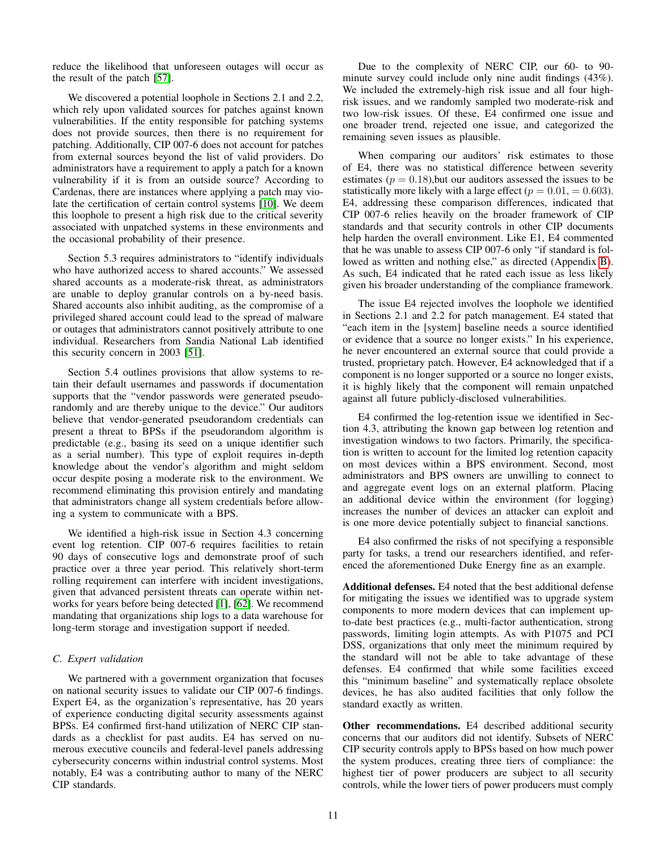reduce the likelihood that unforeseen outages will occur as the result of the patch [\[57\]](#page-14-22).

We discovered a potential loophole in Sections 2.1 and 2.2, which rely upon validated sources for patches against known vulnerabilities. If the entity responsible for patching systems does not provide sources, then there is no requirement for patching. Additionally, CIP 007-6 does not account for patches from external sources beyond the list of valid providers. Do administrators have a requirement to apply a patch for a known vulnerability if it is from an outside source? According to Cardenas, there are instances where applying a patch may violate the certification of certain control systems [\[10\]](#page-13-34). We deem this loophole to present a high risk due to the critical severity associated with unpatched systems in these environments and the occasional probability of their presence.

Section 5.3 requires administrators to "identify individuals who have authorized access to shared accounts." We assessed shared accounts as a moderate-risk threat, as administrators are unable to deploy granular controls on a by-need basis. Shared accounts also inhibit auditing, as the compromise of a privileged shared account could lead to the spread of malware or outages that administrators cannot positively attribute to one individual. Researchers from Sandia National Lab identified this security concern in 2003 [\[51\]](#page-14-23).

Section 5.4 outlines provisions that allow systems to retain their default usernames and passwords if documentation supports that the "vendor passwords were generated pseudorandomly and are thereby unique to the device." Our auditors believe that vendor-generated pseudorandom credentials can present a threat to BPSs if the pseudorandom algorithm is predictable (e.g., basing its seed on a unique identifier such as a serial number). This type of exploit requires in-depth knowledge about the vendor's algorithm and might seldom occur despite posing a moderate risk to the environment. We recommend eliminating this provision entirely and mandating that administrators change all system credentials before allowing a system to communicate with a BPS.

We identified a high-risk issue in Section 4.3 concerning event log retention. CIP 007-6 requires facilities to retain 90 days of consecutive logs and demonstrate proof of such practice over a three year period. This relatively short-term rolling requirement can interfere with incident investigations, given that advanced persistent threats can operate within networks for years before being detected [\[1\]](#page-13-35), [\[62\]](#page-14-24). We recommend mandating that organizations ship logs to a data warehouse for long-term storage and investigation support if needed.

## <span id="page-10-0"></span>*C. Expert validation*

We partnered with a government organization that focuses on national security issues to validate our CIP 007-6 findings. Expert E4, as the organization's representative, has 20 years of experience conducting digital security assessments against BPSs. E4 confirmed first-hand utilization of NERC CIP standards as a checklist for past audits. E4 has served on numerous executive councils and federal-level panels addressing cybersecurity concerns within industrial control systems. Most notably, E4 was a contributing author to many of the NERC CIP standards.

Due to the complexity of NERC CIP, our 60- to 90 minute survey could include only nine audit findings (43%). We included the extremely-high risk issue and all four highrisk issues, and we randomly sampled two moderate-risk and two low-risk issues. Of these, E4 confirmed one issue and one broader trend, rejected one issue, and categorized the remaining seven issues as plausible.

When comparing our auditors' risk estimates to those of E4, there was no statistical difference between severity estimates ( $p = 0.18$ ), but our auditors assessed the issues to be statistically more likely with a large effect ( $p = 0.01, = 0.603$ ). E4, addressing these comparison differences, indicated that CIP 007-6 relies heavily on the broader framework of CIP standards and that security controls in other CIP documents help harden the overall environment. Like E1, E4 commented that he was unable to assess CIP 007-6 only "if standard is followed as written and nothing else," as directed (Appendix [B\)](#page-14-10). As such, E4 indicated that he rated each issue as less likely given his broader understanding of the compliance framework.

The issue E4 rejected involves the loophole we identified in Sections 2.1 and 2.2 for patch management. E4 stated that "each item in the [system] baseline needs a source identified or evidence that a source no longer exists." In his experience, he never encountered an external source that could provide a trusted, proprietary patch. However, E4 acknowledged that if a component is no longer supported or a source no longer exists, it is highly likely that the component will remain unpatched against all future publicly-disclosed vulnerabilities.

E4 confirmed the log-retention issue we identified in Section 4.3, attributing the known gap between log retention and investigation windows to two factors. Primarily, the specification is written to account for the limited log retention capacity on most devices within a BPS environment. Second, most administrators and BPS owners are unwilling to connect to and aggregate event logs on an external platform. Placing an additional device within the environment (for logging) increases the number of devices an attacker can exploit and is one more device potentially subject to financial sanctions.

E4 also confirmed the risks of not specifying a responsible party for tasks, a trend our researchers identified, and referenced the aforementioned Duke Energy fine as an example.

Additional defenses. E4 noted that the best additional defense for mitigating the issues we identified was to upgrade system components to more modern devices that can implement upto-date best practices (e.g., multi-factor authentication, strong passwords, limiting login attempts. As with P1075 and PCI DSS, organizations that only meet the minimum required by the standard will not be able to take advantage of these defenses. E4 confirmed that while some facilities exceed this "minimum baseline" and systematically replace obsolete devices, he has also audited facilities that only follow the standard exactly as written.

Other recommendations. E4 described additional security concerns that our auditors did not identify. Subsets of NERC CIP security controls apply to BPSs based on how much power the system produces, creating three tiers of compliance: the highest tier of power producers are subject to all security controls, while the lower tiers of power producers must comply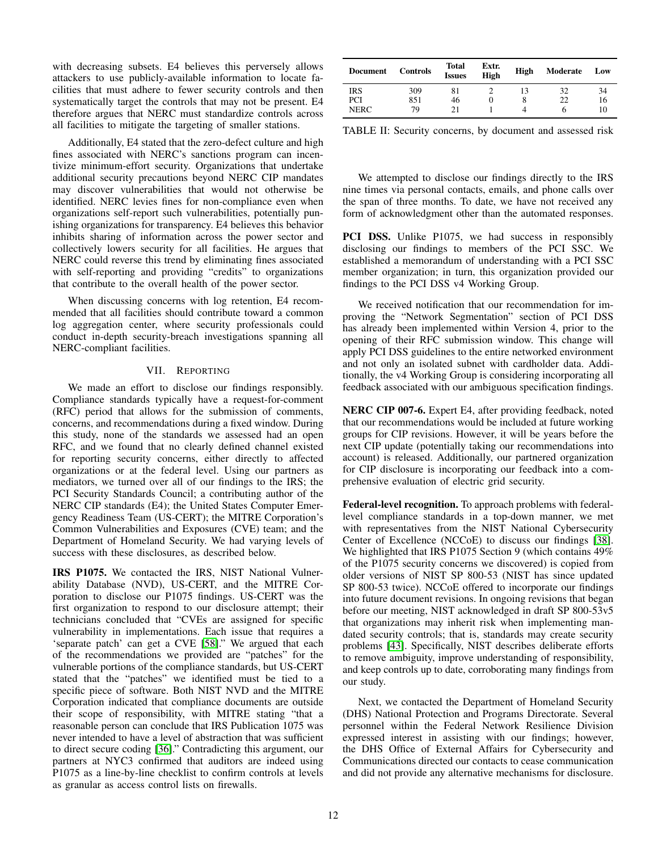with decreasing subsets. E4 believes this perversely allows attackers to use publicly-available information to locate facilities that must adhere to fewer security controls and then systematically target the controls that may not be present. E4 therefore argues that NERC must standardize controls across all facilities to mitigate the targeting of smaller stations.

Additionally, E4 stated that the zero-defect culture and high fines associated with NERC's sanctions program can incentivize minimum-effort security. Organizations that undertake additional security precautions beyond NERC CIP mandates may discover vulnerabilities that would not otherwise be identified. NERC levies fines for non-compliance even when organizations self-report such vulnerabilities, potentially punishing organizations for transparency. E4 believes this behavior inhibits sharing of information across the power sector and collectively lowers security for all facilities. He argues that NERC could reverse this trend by eliminating fines associated with self-reporting and providing "credits" to organizations that contribute to the overall health of the power sector.

When discussing concerns with log retention, E4 recommended that all facilities should contribute toward a common log aggregation center, where security professionals could conduct in-depth security-breach investigations spanning all NERC-compliant facilities.

## VII. REPORTING

<span id="page-11-0"></span>We made an effort to disclose our findings responsibly. Compliance standards typically have a request-for-comment (RFC) period that allows for the submission of comments, concerns, and recommendations during a fixed window. During this study, none of the standards we assessed had an open RFC, and we found that no clearly defined channel existed for reporting security concerns, either directly to affected organizations or at the federal level. Using our partners as mediators, we turned over all of our findings to the IRS; the PCI Security Standards Council; a contributing author of the NERC CIP standards (E4); the United States Computer Emergency Readiness Team (US-CERT); the MITRE Corporation's Common Vulnerabilities and Exposures (CVE) team; and the Department of Homeland Security. We had varying levels of success with these disclosures, as described below.

IRS P1075. We contacted the IRS, NIST National Vulnerability Database (NVD), US-CERT, and the MITRE Corporation to disclose our P1075 findings. US-CERT was the first organization to respond to our disclosure attempt; their technicians concluded that "CVEs are assigned for specific vulnerability in implementations. Each issue that requires a 'separate patch' can get a CVE [\[58\]](#page-14-25)." We argued that each of the recommendations we provided are "patches" for the vulnerable portions of the compliance standards, but US-CERT stated that the "patches" we identified must be tied to a specific piece of software. Both NIST NVD and the MITRE Corporation indicated that compliance documents are outside their scope of responsibility, with MITRE stating "that a reasonable person can conclude that IRS Publication 1075 was never intended to have a level of abstraction that was sufficient to direct secure coding [\[36\]](#page-13-36)." Contradicting this argument, our partners at NYC3 confirmed that auditors are indeed using P1075 as a line-by-line checklist to confirm controls at levels as granular as access control lists on firewalls.

<span id="page-11-1"></span>

| Document    | <b>Controls</b> | Total<br><b>Issues</b> | Extr.<br>High | High | Moderate | Low |
|-------------|-----------------|------------------------|---------------|------|----------|-----|
| IRS         | 309             | 81                     |               |      | 32       | 34  |
| PCI         | 851             | 46                     |               |      | 22       | 16  |
| <b>NERC</b> | 79              | 21                     |               |      | n        | 10  |

TABLE II: Security concerns, by document and assessed risk

We attempted to disclose our findings directly to the IRS nine times via personal contacts, emails, and phone calls over the span of three months. To date, we have not received any form of acknowledgment other than the automated responses.

PCI DSS. Unlike P1075, we had success in responsibly disclosing our findings to members of the PCI SSC. We established a memorandum of understanding with a PCI SSC member organization; in turn, this organization provided our findings to the PCI DSS v4 Working Group.

We received notification that our recommendation for improving the "Network Segmentation" section of PCI DSS has already been implemented within Version 4, prior to the opening of their RFC submission window. This change will apply PCI DSS guidelines to the entire networked environment and not only an isolated subnet with cardholder data. Additionally, the v4 Working Group is considering incorporating all feedback associated with our ambiguous specification findings.

NERC CIP 007-6. Expert E4, after providing feedback, noted that our recommendations would be included at future working groups for CIP revisions. However, it will be years before the next CIP update (potentially taking our recommendations into account) is released. Additionally, our partnered organization for CIP disclosure is incorporating our feedback into a comprehensive evaluation of electric grid security.

Federal-level recognition. To approach problems with federallevel compliance standards in a top-down manner, we met with representatives from the NIST National Cybersecurity Center of Excellence (NCCoE) to discuss our findings [\[38\]](#page-13-6). We highlighted that IRS P1075 Section 9 (which contains 49% of the P1075 security concerns we discovered) is copied from older versions of NIST SP 800-53 (NIST has since updated SP 800-53 twice). NCCoE offered to incorporate our findings into future document revisions. In ongoing revisions that began before our meeting, NIST acknowledged in draft SP 800-53v5 that organizations may inherit risk when implementing mandated security controls; that is, standards may create security problems [\[43\]](#page-14-0). Specifically, NIST describes deliberate efforts to remove ambiguity, improve understanding of responsibility, and keep controls up to date, corroborating many findings from our study.

Next, we contacted the Department of Homeland Security (DHS) National Protection and Programs Directorate. Several personnel within the Federal Network Resilience Division expressed interest in assisting with our findings; however, the DHS Office of External Affairs for Cybersecurity and Communications directed our contacts to cease communication and did not provide any alternative mechanisms for disclosure.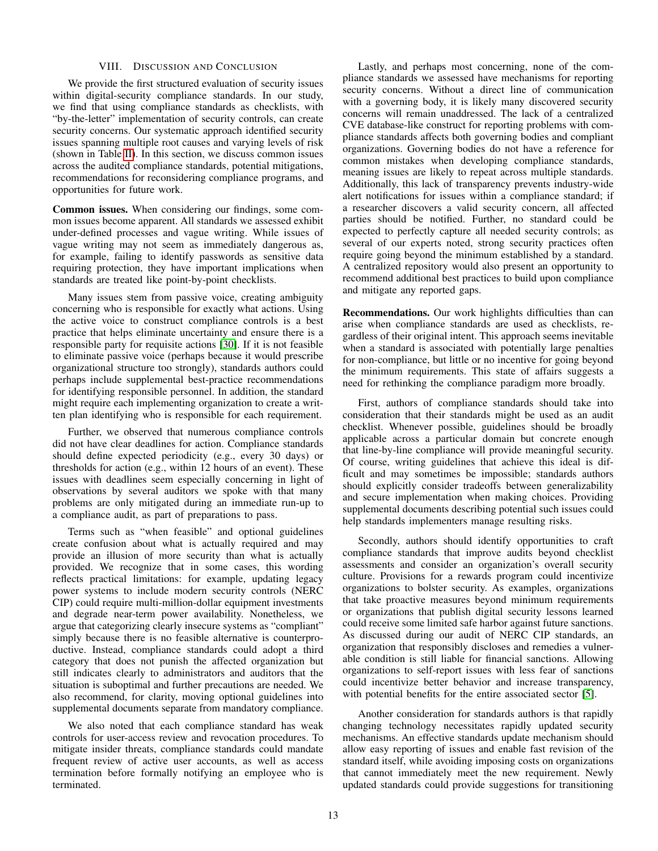## VIII. DISCUSSION AND CONCLUSION

We provide the first structured evaluation of security issues within digital-security compliance standards. In our study, we find that using compliance standards as checklists, with "by-the-letter" implementation of security controls, can create security concerns. Our systematic approach identified security issues spanning multiple root causes and varying levels of risk (shown in Table [II\)](#page-11-1). In this section, we discuss common issues across the audited compliance standards, potential mitigations, recommendations for reconsidering compliance programs, and opportunities for future work.

Common issues. When considering our findings, some common issues become apparent. All standards we assessed exhibit under-defined processes and vague writing. While issues of vague writing may not seem as immediately dangerous as, for example, failing to identify passwords as sensitive data requiring protection, they have important implications when standards are treated like point-by-point checklists.

Many issues stem from passive voice, creating ambiguity concerning who is responsible for exactly what actions. Using the active voice to construct compliance controls is a best practice that helps eliminate uncertainty and ensure there is a responsible party for requisite actions [\[30\]](#page-13-37). If it is not feasible to eliminate passive voice (perhaps because it would prescribe organizational structure too strongly), standards authors could perhaps include supplemental best-practice recommendations for identifying responsible personnel. In addition, the standard might require each implementing organization to create a written plan identifying who is responsible for each requirement.

Further, we observed that numerous compliance controls did not have clear deadlines for action. Compliance standards should define expected periodicity (e.g., every 30 days) or thresholds for action (e.g., within 12 hours of an event). These issues with deadlines seem especially concerning in light of observations by several auditors we spoke with that many problems are only mitigated during an immediate run-up to a compliance audit, as part of preparations to pass.

Terms such as "when feasible" and optional guidelines create confusion about what is actually required and may provide an illusion of more security than what is actually provided. We recognize that in some cases, this wording reflects practical limitations: for example, updating legacy power systems to include modern security controls (NERC CIP) could require multi-million-dollar equipment investments and degrade near-term power availability. Nonetheless, we argue that categorizing clearly insecure systems as "compliant" simply because there is no feasible alternative is counterproductive. Instead, compliance standards could adopt a third category that does not punish the affected organization but still indicates clearly to administrators and auditors that the situation is suboptimal and further precautions are needed. We also recommend, for clarity, moving optional guidelines into supplemental documents separate from mandatory compliance.

We also noted that each compliance standard has weak controls for user-access review and revocation procedures. To mitigate insider threats, compliance standards could mandate frequent review of active user accounts, as well as access termination before formally notifying an employee who is terminated.

Lastly, and perhaps most concerning, none of the compliance standards we assessed have mechanisms for reporting security concerns. Without a direct line of communication with a governing body, it is likely many discovered security concerns will remain unaddressed. The lack of a centralized CVE database-like construct for reporting problems with compliance standards affects both governing bodies and compliant organizations. Governing bodies do not have a reference for common mistakes when developing compliance standards, meaning issues are likely to repeat across multiple standards. Additionally, this lack of transparency prevents industry-wide alert notifications for issues within a compliance standard; if a researcher discovers a valid security concern, all affected parties should be notified. Further, no standard could be expected to perfectly capture all needed security controls; as several of our experts noted, strong security practices often require going beyond the minimum established by a standard. A centralized repository would also present an opportunity to recommend additional best practices to build upon compliance and mitigate any reported gaps.

Recommendations. Our work highlights difficulties than can arise when compliance standards are used as checklists, regardless of their original intent. This approach seems inevitable when a standard is associated with potentially large penalties for non-compliance, but little or no incentive for going beyond the minimum requirements. This state of affairs suggests a need for rethinking the compliance paradigm more broadly.

First, authors of compliance standards should take into consideration that their standards might be used as an audit checklist. Whenever possible, guidelines should be broadly applicable across a particular domain but concrete enough that line-by-line compliance will provide meaningful security. Of course, writing guidelines that achieve this ideal is difficult and may sometimes be impossible; standards authors should explicitly consider tradeoffs between generalizability and secure implementation when making choices. Providing supplemental documents describing potential such issues could help standards implementers manage resulting risks.

Secondly, authors should identify opportunities to craft compliance standards that improve audits beyond checklist assessments and consider an organization's overall security culture. Provisions for a rewards program could incentivize organizations to bolster security. As examples, organizations that take proactive measures beyond minimum requirements or organizations that publish digital security lessons learned could receive some limited safe harbor against future sanctions. As discussed during our audit of NERC CIP standards, an organization that responsibly discloses and remedies a vulnerable condition is still liable for financial sanctions. Allowing organizations to self-report issues with less fear of sanctions could incentivize better behavior and increase transparency, with potential benefits for the entire associated sector [\[5\]](#page-13-38).

Another consideration for standards authors is that rapidly changing technology necessitates rapidly updated security mechanisms. An effective standards update mechanism should allow easy reporting of issues and enable fast revision of the standard itself, while avoiding imposing costs on organizations that cannot immediately meet the new requirement. Newly updated standards could provide suggestions for transitioning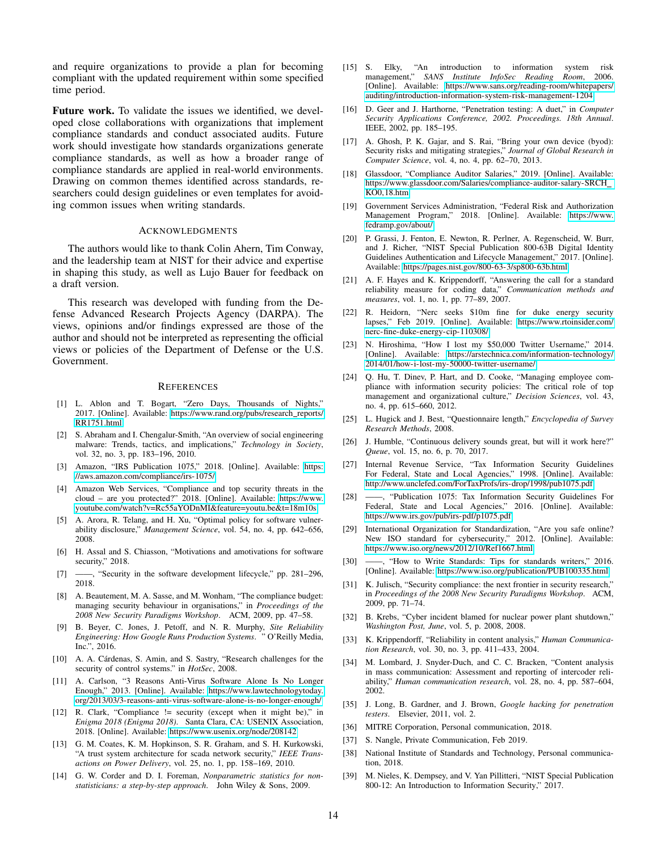and require organizations to provide a plan for becoming compliant with the updated requirement within some specified time period.

Future work. To validate the issues we identified, we developed close collaborations with organizations that implement compliance standards and conduct associated audits. Future work should investigate how standards organizations generate compliance standards, as well as how a broader range of compliance standards are applied in real-world environments. Drawing on common themes identified across standards, researchers could design guidelines or even templates for avoiding common issues when writing standards.

#### ACKNOWLEDGMENTS

The authors would like to thank Colin Ahern, Tim Conway, and the leadership team at NIST for their advice and expertise in shaping this study, as well as Lujo Bauer for feedback on a draft version.

This research was developed with funding from the Defense Advanced Research Projects Agency (DARPA). The views, opinions and/or findings expressed are those of the author and should not be interpreted as representing the official views or policies of the Department of Defense or the U.S. Government.

#### **REFERENCES**

- <span id="page-13-35"></span>[1] L. Ablon and T. Bogart, "Zero Days, Thousands of Nights," 2017. [Online]. Available: [https://www.rand.org/pubs/research](https://www.rand.org/pubs/research_reports/RR1751.html)\_reports/ [RR1751.html](https://www.rand.org/pubs/research_reports/RR1751.html)
- <span id="page-13-24"></span>[2] S. Abraham and I. Chengalur-Smith, "An overview of social engineering malware: Trends, tactics, and implications," *Technology in Society*, vol. 32, no. 3, pp. 183–196, 2010.
- <span id="page-13-4"></span>[3] Amazon, "IRS Publication 1075," 2018. [Online]. Available: [https:](https://aws.amazon.com/compliance/irs-1075/) [//aws.amazon.com/compliance/irs-1075/](https://aws.amazon.com/compliance/irs-1075/)
- <span id="page-13-10"></span>[4] Amazon Web Services, "Compliance and top security threats in the cloud – are you protected?" 2018. [Online]. Available: [https://www.](https://www.youtube.com/watch?v=Rc55aYODnMI&feature=youtu.be&t=18m10s) [youtube.com/watch?v=Rc55aYODnMI&feature=youtu.be&t=18m10s](https://www.youtube.com/watch?v=Rc55aYODnMI&feature=youtu.be&t=18m10s)
- <span id="page-13-38"></span>[5] A. Arora, R. Telang, and H. Xu, "Optimal policy for software vulnerability disclosure," *Management Science*, vol. 54, no. 4, pp. 642–656, 2008.
- <span id="page-13-0"></span>[6] H. Assal and S. Chiasson, "Motivations and amotivations for software security," 2018.
- <span id="page-13-9"></span>[7] ——, "Security in the software development lifecycle," pp. 281-296, 2018.
- <span id="page-13-12"></span>[8] A. Beautement, M. A. Sasse, and M. Wonham, "The compliance budget: managing security behaviour in organisations," in *Proceedings of the 2008 New Security Paradigms Workshop*. ACM, 2009, pp. 47–58.
- <span id="page-13-25"></span>[9] B. Beyer, C. Jones, J. Petoff, and N. R. Murphy, *Site Reliability Engineering: How Google Runs Production Systems*. " O'Reilly Media, Inc.", 2016.
- <span id="page-13-34"></span>[10] A. A. Cárdenas, S. Amin, and S. Sastry, "Research challenges for the security of control systems." in *HotSec*, 2008.
- <span id="page-13-29"></span>[11] A. Carlson, "3 Reasons Anti-Virus Software Alone Is No Longer Enough," 2013. [Online]. Available: [https://www.lawtechnologytoday.](https://www.lawtechnologytoday.org/2013/03/3-reasons-anti-virus-software-alone-is-no-longer-enough/) [org/2013/03/3-reasons-anti-virus-software-alone-is-no-longer-enough/](https://www.lawtechnologytoday.org/2013/03/3-reasons-anti-virus-software-alone-is-no-longer-enough/)
- <span id="page-13-8"></span>[12] R. Clark, "Compliance != security (except when it might be)," in *Enigma 2018 (Enigma 2018)*. Santa Clara, CA: USENIX Association, 2018. [Online]. Available:<https://www.usenix.org/node/208142>
- <span id="page-13-32"></span>[13] G. M. Coates, K. M. Hopkinson, S. R. Graham, and S. H. Kurkowski, "A trust system architecture for scada network security," *IEEE Transactions on Power Delivery*, vol. 25, no. 1, pp. 158–169, 2010.
- <span id="page-13-18"></span>[14] G. W. Corder and D. I. Foreman, *Nonparametric statistics for nonstatisticians: a step-by-step approach*. John Wiley & Sons, 2009.
- <span id="page-13-17"></span>[15] S. Elky, "An introduction to information system risk management," *SANS Institute InfoSec Reading Room*, 2006. [Online]. Available: [https://www.sans.org/reading-room/whitepapers/](https://www.sans.org/reading-room/whitepapers/auditing/introduction-information-system-risk-management-1204) [auditing/introduction-information-system-risk-management-1204](https://www.sans.org/reading-room/whitepapers/auditing/introduction-information-system-risk-management-1204)
- <span id="page-13-26"></span>[16] D. Geer and J. Harthorne, "Penetration testing: A duet," in *Computer Security Applications Conference, 2002. Proceedings. 18th Annual*. IEEE, 2002, pp. 185–195.
- <span id="page-13-22"></span>[17] A. Ghosh, P. K. Gajar, and S. Rai, "Bring your own device (byod): Security risks and mitigating strategies," *Journal of Global Research in Computer Science*, vol. 4, no. 4, pp. 62–70, 2013.
- <span id="page-13-1"></span>[18] Glassdoor, "Compliance Auditor Salaries," 2019. [Online]. Available: [https://www.glassdoor.com/Salaries/compliance-auditor-salary-SRCH](https://www.glassdoor.com/Salaries/compliance-auditor-salary-SRCH_KO0,18.htm) [KO0,18.htm](https://www.glassdoor.com/Salaries/compliance-auditor-salary-SRCH_KO0,18.htm)
- <span id="page-13-3"></span>[19] Government Services Administration, "Federal Risk and Authorization Management Program," 2018. [Online]. Available: [https://www.](https://www.fedramp.gov/about/) [fedramp.gov/about/](https://www.fedramp.gov/about/)
- <span id="page-13-23"></span>[20] P. Grassi, J. Fenton, E. Newton, R. Perlner, A. Regenscheid, W. Burr, and J. Richer, "NIST Special Publication 800-63B Digital Identity Guidelines Authentication and Lifecycle Management," 2017. [Online]. Available:<https://pages.nist.gov/800-63-3/sp800-63b.html>
- <span id="page-13-14"></span>[21] A. F. Hayes and K. Krippendorff, "Answering the call for a standard reliability measure for coding data," *Communication methods and measures*, vol. 1, no. 1, pp. 77–89, 2007.
- <span id="page-13-31"></span>[22] R. Heidorn, "Nerc seeks \$10m fine for duke energy security lapses," Feb 2019. [Online]. Available: [https://www.rtoinsider.com/](https://www.rtoinsider.com/nerc-fine-duke-energy-cip-110308/) [nerc-fine-duke-energy-cip-110308/](https://www.rtoinsider.com/nerc-fine-duke-energy-cip-110308/)
- <span id="page-13-28"></span>[23] N. Hiroshima, "How I lost my \$50,000 Twitter Username," 2014. [Online]. Available: [https://arstechnica.com/information-technology/](https://arstechnica.com/information-technology/2014/01/how-i-lost-my-50000-twitter-username/) [2014/01/how-i-lost-my-50000-twitter-username/](https://arstechnica.com/information-technology/2014/01/how-i-lost-my-50000-twitter-username/)
- <span id="page-13-13"></span>[24] Q. Hu, T. Dinev, P. Hart, and D. Cooke, "Managing employee compliance with information security policies: The critical role of top management and organizational culture," *Decision Sciences*, vol. 43, no. 4, pp. 615–660, 2012.
- <span id="page-13-19"></span>[25] L. Hugick and J. Best, "Questionnaire length," *Encyclopedia of Survey Research Methods*, 2008.
- <span id="page-13-11"></span>[26] J. Humble, "Continuous delivery sounds great, but will it work here?" *Queue*, vol. 15, no. 6, p. 70, 2017.
- <span id="page-13-21"></span>[27] Internal Revenue Service, "Tax Information Security Guidelines For Federal, State and Local Agencies," 1998. [Online]. Available: <http://www.unclefed.com/ForTaxProfs/irs-drop/1998/pub1075.pdf>
- <span id="page-13-20"></span>[28] ——, "Publication 1075: Tax Information Security Guidelines For Federal, State and Local Agencies," 2016. [Online]. Available: <https://www.irs.gov/pub/irs-pdf/p1075.pdf>
- <span id="page-13-2"></span>[29] International Organization for Standardization, "Are you safe online? New ISO standard for cybersecurity," 2012. [Online]. Available: <https://www.iso.org/news/2012/10/Ref1667.html>
- <span id="page-13-37"></span>[30] - How to Write Standards: Tips for standards writers," 2016. [Online]. Available:<https://www.iso.org/publication/PUB100335.html>
- <span id="page-13-5"></span>[31] K. Julisch, "Security compliance: the next frontier in security research," in *Proceedings of the 2008 New Security Paradigms Workshop*. ACM, 2009, pp. 71–74.
- <span id="page-13-33"></span>[32] B. Krebs, "Cyber incident blamed for nuclear power plant shutdown," *Washington Post, June*, vol. 5, p. 2008, 2008.
- <span id="page-13-15"></span>[33] K. Krippendorff, "Reliability in content analysis," *Human Communication Research*, vol. 30, no. 3, pp. 411–433, 2004.
- <span id="page-13-16"></span>[34] M. Lombard, J. Snyder-Duch, and C. C. Bracken, "Content analysis in mass communication: Assessment and reporting of intercoder reliability," *Human communication research*, vol. 28, no. 4, pp. 587–604, 2002.
- <span id="page-13-30"></span>[35] J. Long, B. Gardner, and J. Brown, *Google hacking for penetration testers*. Elsevier, 2011, vol. 2.
- <span id="page-13-36"></span>[36] MITRE Corporation, Personal communication, 2018.
- <span id="page-13-27"></span>[37] S. Nangle, Private Communication, Feb 2019.
- <span id="page-13-6"></span>[38] National Institute of Standards and Technology, Personal communication, 2018.
- <span id="page-13-7"></span>[39] M. Nieles, K. Dempsey, and V. Yan Pillitteri, "NIST Special Publication 800-12: An Introduction to Information Security," 2017.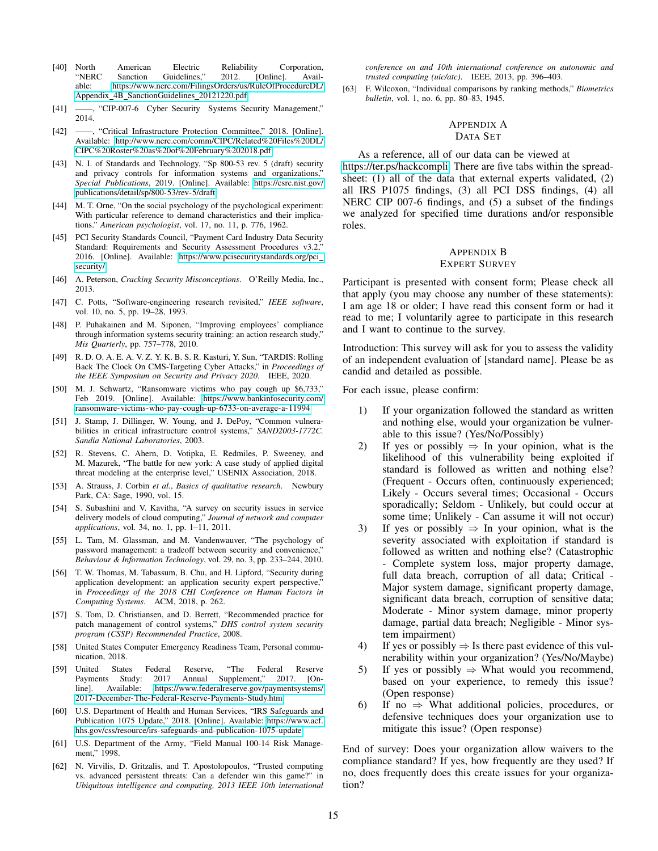- <span id="page-14-1"></span>[40] North American Electric Reliability Corporation, Sanction Guidelines," 2012. [Online]. Available: [https://www.nerc.com/FilingsOrders/us/RuleOfProcedureDL/](https://www.nerc.com/FilingsOrders/us/RuleOfProcedureDL/Appendix_4B_SanctionGuidelines_20121220.pdf) Appendix 4B [SanctionGuidelines](https://www.nerc.com/FilingsOrders/us/RuleOfProcedureDL/Appendix_4B_SanctionGuidelines_20121220.pdf) 20121220.pdf
- <span id="page-14-20"></span>[41] ——, "CIP-007-6 Cyber Security Systems Security Management," 2014.
- <span id="page-14-21"></span>[42] ——, "Critical Infrastructure Protection Committee," 2018. [Online]. Available: [http://www.nerc.com/comm/CIPC/Related%20Files%20DL/](http://www.nerc.com/comm/CIPC/Related%20Files%20DL/CIPC%20Roster%20as%20of%20February%202018.pdf) [CIPC%20Roster%20as%20of%20February%202018.pdf](http://www.nerc.com/comm/CIPC/Related%20Files%20DL/CIPC%20Roster%20as%20of%20February%202018.pdf)
- <span id="page-14-0"></span>[43] N. I. of Standards and Technology, "Sp 800-53 rev. 5 (draft) security and privacy controls for information systems and organizations, *Special Publications*, 2019. [Online]. Available: [https://csrc.nist.gov/](https://csrc.nist.gov/publications/detail/sp/800-53/rev-5/draft) [publications/detail/sp/800-53/rev-5/draft](https://csrc.nist.gov/publications/detail/sp/800-53/rev-5/draft)
- <span id="page-14-12"></span>[44] M. T. Orne, "On the social psychology of the psychological experiment: With particular reference to demand characteristics and their implications." *American psychologist*, vol. 17, no. 11, p. 776, 1962.
- <span id="page-14-18"></span>[45] PCI Security Standards Council, "Payment Card Industry Data Security Standard: Requirements and Security Assessment Procedures v3.2," 2016. [Online]. Available: [https://www.pcisecuritystandards.org/pci](https://www.pcisecuritystandards.org/pci_security/) [security/](https://www.pcisecuritystandards.org/pci_security/)
- <span id="page-14-3"></span>[46] A. Peterson, *Cracking Security Misconceptions*. O'Reilly Media, Inc., 2013.
- <span id="page-14-8"></span>[47] C. Potts, "Software-engineering research revisited," *IEEE software*, vol. 10, no. 5, pp. 19–28, 1993.
- <span id="page-14-5"></span>[48] P. Puhakainen and M. Siponen, "Improving employees' compliance through information systems security training: an action research study,' *Mis Quarterly*, pp. 757–778, 2010.
- <span id="page-14-16"></span>[49] R. D. O. A. E. A. V. Z. Y. K. B. S. R. Kasturi, Y. Sun, "TARDIS: Rolling Back The Clock On CMS-Targeting Cyber Attacks," in *Proceedings of the IEEE Symposium on Security and Privacy 2020*. IEEE, 2020.
- <span id="page-14-17"></span>[50] M. J. Schwartz, "Ransomware victims who pay cough up \$6,733," Feb 2019. [Online]. Available: [https://www.bankinfosecurity.com/](https://www.bankinfosecurity.com/ransomware-victims-who-pay-cough-up-6733-on-average-a-11994) [ransomware-victims-who-pay-cough-up-6733-on-average-a-11994](https://www.bankinfosecurity.com/ransomware-victims-who-pay-cough-up-6733-on-average-a-11994)
- <span id="page-14-23"></span>[51] J. Stamp, J. Dillinger, W. Young, and J. DePoy, "Common vulnerabilities in critical infrastructure control systems," *SAND2003-1772C. Sandia National Laboratories*, 2003.
- <span id="page-14-2"></span>[52] R. Stevens, C. Ahern, D. Votipka, E. Redmiles, P. Sweeney, and M. Mazurek, "The battle for new york: A case study of applied digital threat modeling at the enterprise level," USENIX Association, 2018.
- <span id="page-14-6"></span>[53] A. Strauss, J. Corbin *et al.*, *Basics of qualitative research*. Newbury Park, CA: Sage, 1990, vol. 15.
- <span id="page-14-14"></span>[54] S. Subashini and V. Kavitha, "A survey on security issues in service delivery models of cloud computing," *Journal of network and computer applications*, vol. 34, no. 1, pp. 1–11, 2011.
- <span id="page-14-15"></span>[55] L. Tam, M. Glassman, and M. Vandenwauver, "The psychology of password management: a tradeoff between security and convenience,' *Behaviour & Information Technology*, vol. 29, no. 3, pp. 233–244, 2010.
- <span id="page-14-4"></span>[56] T. W. Thomas, M. Tabassum, B. Chu, and H. Lipford, "Security during application development: an application security expert perspective," in *Proceedings of the 2018 CHI Conference on Human Factors in Computing Systems*. ACM, 2018, p. 262.
- <span id="page-14-22"></span>[57] S. Tom, D. Christiansen, and D. Berrett, "Recommended practice for patch management of control systems," *DHS control system security program (CSSP) Recommended Practice*, 2008.
- <span id="page-14-25"></span>[58] United States Computer Emergency Readiness Team, Personal communication, 2018.
- <span id="page-14-19"></span>[59] United States Federal Reserve, "The Federal Reserve Payments Study: 2017 Annual Supplement," 2017. [Online]. Available: [https://www.federalreserve.gov/paymentsystems/](https://www.federalreserve.gov/paymentsystems/2017-December-The-Federal-Reserve-Payments-Study.htm) [2017-December-The-Federal-Reserve-Payments-Study.htm](https://www.federalreserve.gov/paymentsystems/2017-December-The-Federal-Reserve-Payments-Study.htm)
- <span id="page-14-13"></span>[60] U.S. Department of Health and Human Services, "IRS Safeguards and Publication 1075 Update," 2018. [Online]. Available: [https://www.acf.](https://www.acf.hhs.gov/css/resource/irs-safeguards-and-publication-1075-update) [hhs.gov/css/resource/irs-safeguards-and-publication-1075-update](https://www.acf.hhs.gov/css/resource/irs-safeguards-and-publication-1075-update)
- <span id="page-14-7"></span>[61] U.S. Department of the Army, "Field Manual 100-14 Risk Management," 1998.
- <span id="page-14-24"></span>[62] N. Virvilis, D. Gritzalis, and T. Apostolopoulos, "Trusted computing vs. advanced persistent threats: Can a defender win this game?" in *Ubiquitous intelligence and computing, 2013 IEEE 10th international*

*conference on and 10th international conference on autonomic and trusted computing (uic/atc)*. IEEE, 2013, pp. 396–403.

<span id="page-14-11"></span>[63] F. Wilcoxon, "Individual comparisons by ranking methods," *Biometrics bulletin*, vol. 1, no. 6, pp. 80–83, 1945.

## <span id="page-14-9"></span>APPENDIX A DATA SET

As a reference, all of our data can be viewed at [https://ter.ps/hackcompli.](https://ter.ps/hackcompli) There are five tabs within the spreadsheet: (1) all of the data that external experts validated, (2) all IRS P1075 findings, (3) all PCI DSS findings, (4) all NERC CIP 007-6 findings, and (5) a subset of the findings we analyzed for specified time durations and/or responsible roles.

### <span id="page-14-10"></span>APPENDIX B EXPERT SURVEY

Participant is presented with consent form; Please check all that apply (you may choose any number of these statements): I am age 18 or older; I have read this consent form or had it read to me; I voluntarily agree to participate in this research and I want to continue to the survey.

Introduction: This survey will ask for you to assess the validity of an independent evaluation of [standard name]. Please be as candid and detailed as possible.

For each issue, please confirm:

- 1) If your organization followed the standard as written and nothing else, would your organization be vulnerable to this issue? (Yes/No/Possibly)
- 2) If yes or possibly  $\Rightarrow$  In your opinion, what is the likelihood of this vulnerability being exploited if standard is followed as written and nothing else? (Frequent - Occurs often, continuously experienced; Likely - Occurs several times; Occasional - Occurs sporadically; Seldom - Unlikely, but could occur at some time; Unlikely - Can assume it will not occur)
- 3) If yes or possibly  $\Rightarrow$  In your opinion, what is the severity associated with exploitation if standard is followed as written and nothing else? (Catastrophic - Complete system loss, major property damage, full data breach, corruption of all data; Critical - Major system damage, significant property damage, significant data breach, corruption of sensitive data; Moderate - Minor system damage, minor property damage, partial data breach; Negligible - Minor system impairment)
- 4) If yes or possibly  $\Rightarrow$  Is there past evidence of this vulnerability within your organization? (Yes/No/Maybe)
- 5) If yes or possibly  $\Rightarrow$  What would you recommend, based on your experience, to remedy this issue? (Open response)
- 6) If no  $\Rightarrow$  What additional policies, procedures, or defensive techniques does your organization use to mitigate this issue? (Open response)

End of survey: Does your organization allow waivers to the compliance standard? If yes, how frequently are they used? If no, does frequently does this create issues for your organization?